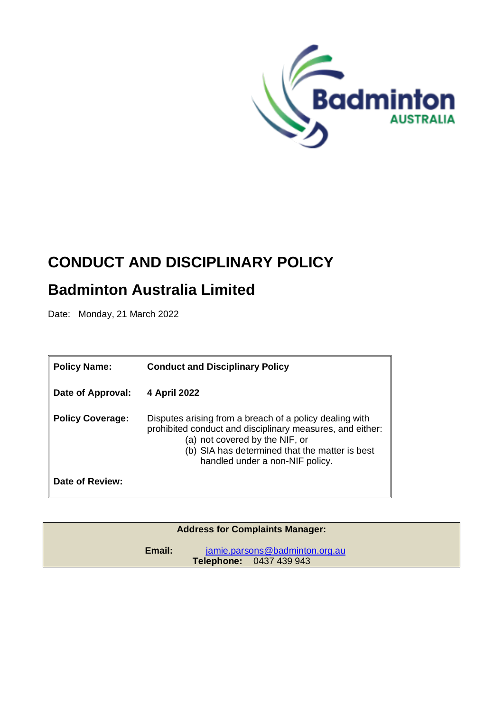

# **CONDUCT AND DISCIPLINARY POLICY**

# **Badminton Australia Limited**

Date: Monday, 21 March 2022

| <b>Policy Name:</b>     | <b>Conduct and Disciplinary Policy</b>                                                                                                                                                                                                      |  |
|-------------------------|---------------------------------------------------------------------------------------------------------------------------------------------------------------------------------------------------------------------------------------------|--|
| Date of Approval:       | 4 April 2022                                                                                                                                                                                                                                |  |
| <b>Policy Coverage:</b> | Disputes arising from a breach of a policy dealing with<br>prohibited conduct and disciplinary measures, and either:<br>(a) not covered by the NIF, or<br>(b) SIA has determined that the matter is best<br>handled under a non-NIF policy. |  |
| Date of Review:         |                                                                                                                                                                                                                                             |  |

| <b>Address for Complaints Manager:</b>                                     |  |  |
|----------------------------------------------------------------------------|--|--|
| jamie.parsons@badminton.org.au<br>Email:<br><b>Telephone: 0437 439 943</b> |  |  |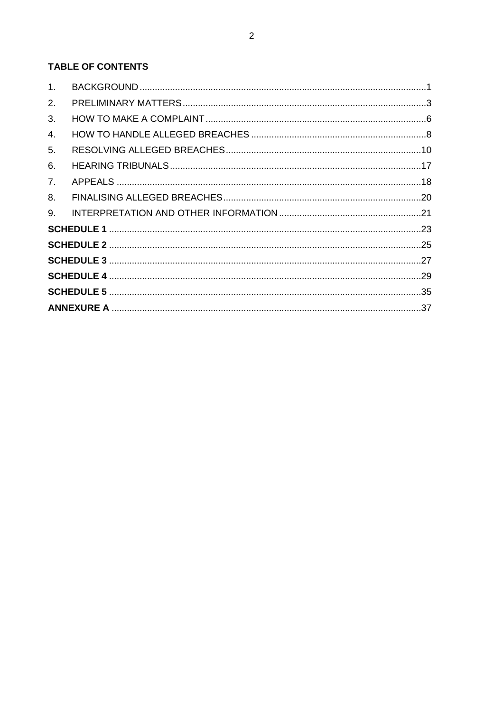# TABLE OF CONTENTS

| 1 <sub>1</sub> |  |  |  |
|----------------|--|--|--|
| 2.             |  |  |  |
| 3.             |  |  |  |
| 4.             |  |  |  |
| 5.             |  |  |  |
| 6.             |  |  |  |
| 7 <sub>1</sub> |  |  |  |
| 8.             |  |  |  |
| 9.             |  |  |  |
|                |  |  |  |
|                |  |  |  |
|                |  |  |  |
|                |  |  |  |
|                |  |  |  |
|                |  |  |  |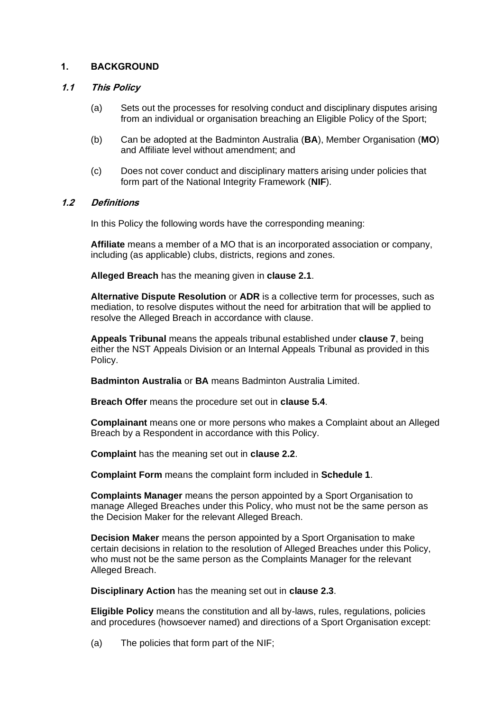# <span id="page-2-0"></span>**1. BACKGROUND**

# **1.1 This Policy**

- (a) Sets out the processes for resolving conduct and disciplinary disputes arising from an individual or organisation breaching an Eligible Policy of the Sport;
- (b) Can be adopted at the Badminton Australia (**BA**), Member Organisation (**MO**) and Affiliate level without amendment; and
- (c) Does not cover conduct and disciplinary matters arising under policies that form part of the National Integrity Framework (**NIF**).

# **1.2 Definitions**

In this Policy the following words have the corresponding meaning:

**Affiliate** means a member of a MO that is an incorporated association or company, including (as applicable) clubs, districts, regions and zones.

**Alleged Breach** has the meaning given in **clause [2.1](#page-4-1)**.

**Alternative Dispute Resolution** or **ADR** is a collective term for processes, such as mediation, to resolve disputes without the need for arbitration that will be applied to resolve the Alleged Breach in accordance with clause.

**Appeals Tribunal** means the appeals tribunal established under **clause [7](#page-19-0)**, being either the NST Appeals Division or an Internal Appeals Tribunal as provided in this Policy.

**Badminton Australia** or **BA** means Badminton Australia Limited.

**Breach Offer** means the procedure set out in **clause [5.4](#page-14-0)**.

**Complainant** means one or more persons who makes a Complaint about an Alleged Breach by a Respondent in accordance with this Policy.

**Complaint** has the meaning set out in **clause [2.2](#page-4-2)**.

**Complaint Form** means the complaint form included in **Schedule 1**.

**Complaints Manager** means the person appointed by a Sport Organisation to manage Alleged Breaches under this Policy, who must not be the same person as the Decision Maker for the relevant Alleged Breach.

**Decision Maker** means the person appointed by a Sport Organisation to make certain decisions in relation to the resolution of Alleged Breaches under this Policy, who must not be the same person as the Complaints Manager for the relevant Alleged Breach.

**Disciplinary Action** has the meaning set out in **clause 2.3**.

**Eligible Policy** means the constitution and all by-laws, rules, regulations, policies and procedures (howsoever named) and directions of a Sport Organisation except:

(a) The policies that form part of the NIF;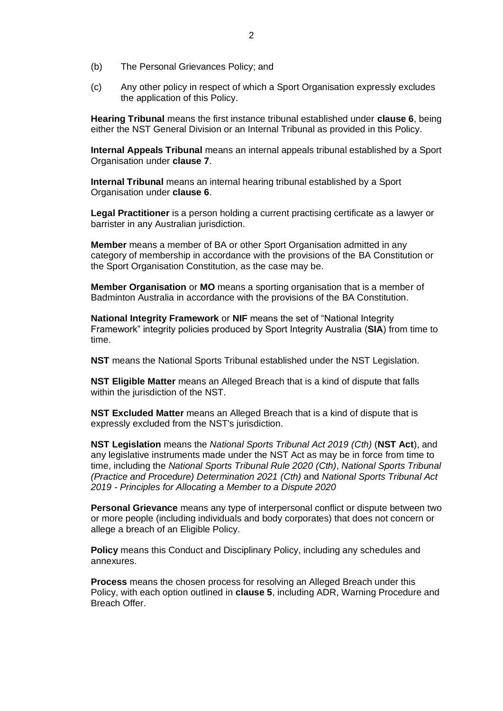- (b) The Personal Grievances Policy; and
- (c) Any other policy in respect of which a Sport Organisation expressly excludes the application of this Policy.

**Hearing Tribunal** means the first instance tribunal established under **clause [6](#page-18-0)**, being either the NST General Division or an Internal Tribunal as provided in this Policy.

**Internal Appeals Tribunal** means an internal appeals tribunal established by a Sport Organisation under **clause [7](#page-19-0)**.

**Internal Tribunal** means an internal hearing tribunal established by a Sport Organisation under **clause [6](#page-18-0)**.

**Legal Practitioner** is a person holding a current practising certificate as a lawyer or barrister in any Australian jurisdiction.

**Member** means a member of BA or other Sport Organisation admitted in any category of membership in accordance with the provisions of the BA Constitution or the Sport Organisation Constitution, as the case may be.

**Member Organisation** or **MO** means a sporting organisation that is a member of Badminton Australia in accordance with the provisions of the BA Constitution.

**National Integrity Framework** or **NIF** means the set of "National Integrity Framework" integrity policies produced by Sport Integrity Australia (**SIA**) from time to time.

**NST** means the National Sports Tribunal established under the NST Legislation.

**NST Eligible Matter** means an Alleged Breach that is a kind of dispute that falls within the jurisdiction of the NST.

**NST Excluded Matter** means an Alleged Breach that is a kind of dispute that is expressly excluded from the NST's jurisdiction.

**NST Legislation** means the *National Sports Tribunal Act 2019 (Cth)* (**NST Act**), and any legislative instruments made under the NST Act as may be in force from time to time, including the *National Sports Tribunal Rule 2020 (Cth)*, *National Sports Tribunal (Practice and Procedure) Determination 2021 (Cth)* and *National Sports Tribunal Act 2019 - Principles for Allocating a Member to a Dispute 2020*

**Personal Grievance** means any type of interpersonal conflict or dispute between two or more people (including individuals and body corporates) that does not concern or allege a breach of an Eligible Policy.

**Policy** means this Conduct and Disciplinary Policy, including any schedules and annexures.

**Process** means the chosen process for resolving an Alleged Breach under this Policy, with each option outlined in **clause [5](#page-11-0)**, including ADR, Warning Procedure and Breach Offer.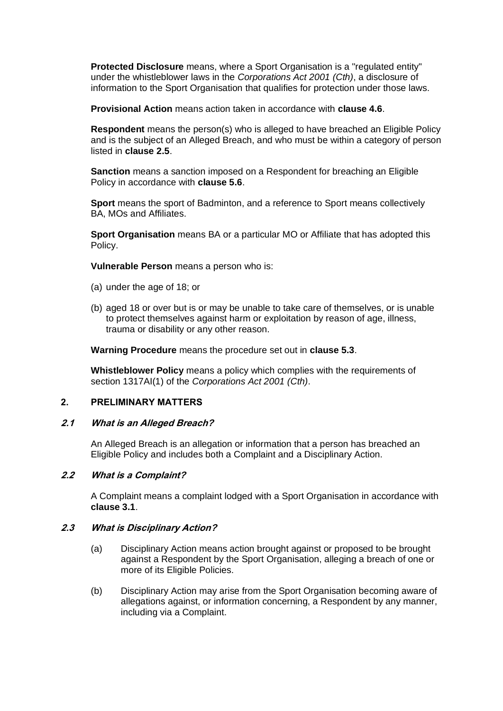**Protected Disclosure** means, where a Sport Organisation is a "regulated entity" under the whistleblower laws in the *Corporations Act 2001 (Cth)*, a disclosure of information to the Sport Organisation that qualifies for protection under those laws.

**Provisional Action** means action taken in accordance with **clause [4.6](#page-11-1)**.

**Respondent** means the person(s) who is alleged to have breached an Eligible Policy and is the subject of an Alleged Breach, and who must be within a category of person listed in **clause [2.5](#page-5-0)**.

**Sanction** means a sanction imposed on a Respondent for breaching an Eligible Policy in accordance with **clause [5.6](#page-17-0)**.

**Sport** means the sport of Badminton, and a reference to Sport means collectively BA, MOs and Affiliates.

**Sport Organisation** means BA or a particular MO or Affiliate that has adopted this Policy.

**Vulnerable Person** means a person who is:

- (a) under the age of 18; or
- (b) aged 18 or over but is or may be unable to take care of themselves, or is unable to protect themselves against harm or exploitation by reason of age, illness, trauma or disability or any other reason.

**Warning Procedure** means the procedure set out in **clause [5.3](#page-13-0)**.

**Whistleblower Policy** means a policy which complies with the requirements of section 1317AI(1) of the *Corporations Act 2001 (Cth)*.

# <span id="page-4-0"></span>**2. PRELIMINARY MATTERS**

#### <span id="page-4-1"></span>**2.1 What is an Alleged Breach?**

An Alleged Breach is an allegation or information that a person has breached an Eligible Policy and includes both a Complaint and a Disciplinary Action.

# <span id="page-4-2"></span>**2.2 What is a Complaint?**

A Complaint means a complaint lodged with a Sport Organisation in accordance with **clause [3.1](#page-7-1)**.

# **2.3 What is Disciplinary Action?**

- (a) Disciplinary Action means action brought against or proposed to be brought against a Respondent by the Sport Organisation, alleging a breach of one or more of its Eligible Policies.
- (b) Disciplinary Action may arise from the Sport Organisation becoming aware of allegations against, or information concerning, a Respondent by any manner, including via a Complaint.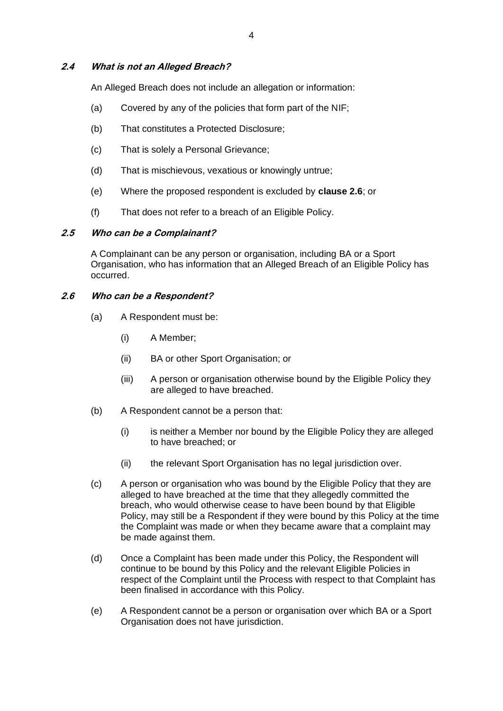#### <span id="page-5-2"></span>**2.4 What is not an Alleged Breach?**

An Alleged Breach does not include an allegation or information:

- (a) Covered by any of the policies that form part of the NIF;
- (b) That constitutes a Protected Disclosure;
- (c) That is solely a Personal Grievance;
- (d) That is mischievous, vexatious or knowingly untrue;
- (e) Where the proposed respondent is excluded by **clause [2.6](#page-5-1)**; or
- (f) That does not refer to a breach of an Eligible Policy.

#### <span id="page-5-0"></span>**2.5 Who can be a Complainant?**

A Complainant can be any person or organisation, including BA or a Sport Organisation, who has information that an Alleged Breach of an Eligible Policy has occurred.

#### <span id="page-5-1"></span>**2.6 Who can be a Respondent?**

- (a) A Respondent must be:
	- (i) A Member;
	- (ii) BA or other Sport Organisation; or
	- (iii) A person or organisation otherwise bound by the Eligible Policy they are alleged to have breached.
- (b) A Respondent cannot be a person that:
	- (i) is neither a Member nor bound by the Eligible Policy they are alleged to have breached; or
	- (ii) the relevant Sport Organisation has no legal jurisdiction over.
- (c) A person or organisation who was bound by the Eligible Policy that they are alleged to have breached at the time that they allegedly committed the breach, who would otherwise cease to have been bound by that Eligible Policy, may still be a Respondent if they were bound by this Policy at the time the Complaint was made or when they became aware that a complaint may be made against them.
- (d) Once a Complaint has been made under this Policy, the Respondent will continue to be bound by this Policy and the relevant Eligible Policies in respect of the Complaint until the Process with respect to that Complaint has been finalised in accordance with this Policy.
- (e) A Respondent cannot be a person or organisation over which BA or a Sport Organisation does not have jurisdiction.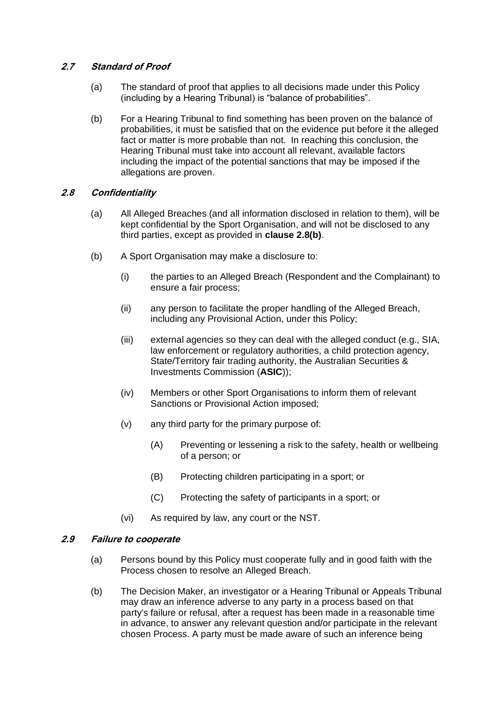# <span id="page-6-0"></span>**2.7 Standard of Proof**

- (a) The standard of proof that applies to all decisions made under this Policy (including by a Hearing Tribunal) is "balance of probabilities".
- (b) For a Hearing Tribunal to find something has been proven on the balance of probabilities, it must be satisfied that on the evidence put before it the alleged fact or matter is more probable than not. In reaching this conclusion, the Hearing Tribunal must take into account all relevant, available factors including the impact of the potential sanctions that may be imposed if the allegations are proven.

# **2.8 Confidentiality**

- (a) All Alleged Breaches (and all information disclosed in relation to them), will be kept confidential by the Sport Organisation, and will not be disclosed to any third parties, except as provided in **clause 2.8(b)**.
- (b) A Sport Organisation may make a disclosure to:
	- (i) the parties to an Alleged Breach (Respondent and the Complainant) to ensure a fair process;
	- (ii) any person to facilitate the proper handling of the Alleged Breach, including any Provisional Action, under this Policy;
	- (iii) external agencies so they can deal with the alleged conduct (e.g., SIA, law enforcement or regulatory authorities, a child protection agency, State/Territory fair trading authority, the Australian Securities & Investments Commission (**ASIC**));
	- (iv) Members or other Sport Organisations to inform them of relevant Sanctions or Provisional Action imposed;
	- (v) any third party for the primary purpose of:
		- (A) Preventing or lessening a risk to the safety, health or wellbeing of a person; or
		- (B) Protecting children participating in a sport; or
		- (C) Protecting the safety of participants in a sport; or
	- (vi) As required by law, any court or the NST.

#### **2.9 Failure to cooperate**

- (a) Persons bound by this Policy must cooperate fully and in good faith with the Process chosen to resolve an Alleged Breach.
- (b) The Decision Maker, an investigator or a Hearing Tribunal or Appeals Tribunal may draw an inference adverse to any party in a process based on that party's failure or refusal, after a request has been made in a reasonable time in advance, to answer any relevant question and/or participate in the relevant chosen Process. A party must be made aware of such an inference being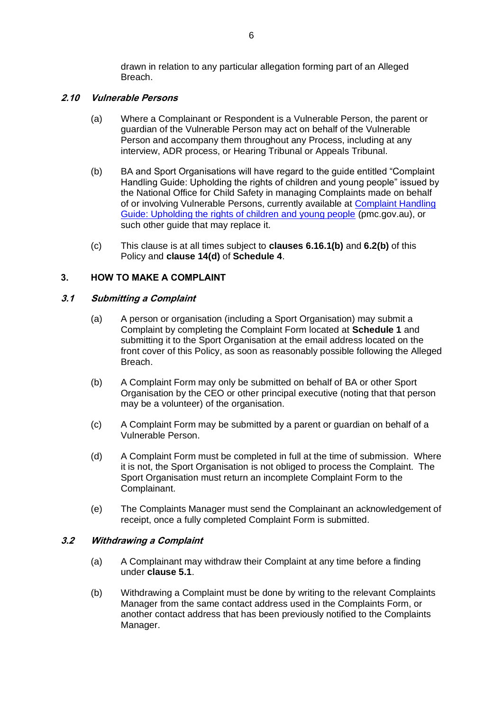drawn in relation to any particular allegation forming part of an Alleged Breach.

# **2.10 Vulnerable Persons**

- (a) Where a Complainant or Respondent is a Vulnerable Person, the parent or guardian of the Vulnerable Person may act on behalf of the Vulnerable Person and accompany them throughout any Process, including at any interview, ADR process, or Hearing Tribunal or Appeals Tribunal.
- (b) BA and Sport Organisations will have regard to the guide entitled "Complaint Handling Guide: Upholding the rights of children and young people" issued by the National Office for Child Safety in managing Complaints made on behalf of or involving Vulnerable Persons, currently available at [Complaint Handling](https://childsafety.pmc.gov.au/sites/default/files/2020-09/nocs-complaint-handling-guide.pdf)  [Guide: Upholding the rights of children and young people](https://childsafety.pmc.gov.au/sites/default/files/2020-09/nocs-complaint-handling-guide.pdf) (pmc.gov.au), or such other guide that may replace it.
- (c) This clause is at all times subject to **clauses [6.1](#page-18-1)[6.1\(b\)](#page-18-2)** and **[6.2\(](#page-18-3)b)** of this Policy and **clause 14(d)** of **Schedule 4**.

# <span id="page-7-0"></span>**3. HOW TO MAKE A COMPLAINT**

# <span id="page-7-1"></span>**3.1 Submitting a Complaint**

- (a) A person or organisation (including a Sport Organisation) may submit a Complaint by completing the Complaint Form located at **Schedule 1** and submitting it to the Sport Organisation at the email address located on the front cover of this Policy, as soon as reasonably possible following the Alleged Breach.
- (b) A Complaint Form may only be submitted on behalf of BA or other Sport Organisation by the CEO or other principal executive (noting that that person may be a volunteer) of the organisation.
- (c) A Complaint Form may be submitted by a parent or guardian on behalf of a Vulnerable Person.
- (d) A Complaint Form must be completed in full at the time of submission. Where it is not, the Sport Organisation is not obliged to process the Complaint. The Sport Organisation must return an incomplete Complaint Form to the Complainant.
- (e) The Complaints Manager must send the Complainant an acknowledgement of receipt, once a fully completed Complaint Form is submitted.

#### **3.2 Withdrawing a Complaint**

- (a) A Complainant may withdraw their Complaint at any time before a finding under **clause [5.1](#page-11-2)**.
- (b) Withdrawing a Complaint must be done by writing to the relevant Complaints Manager from the same contact address used in the Complaints Form, or another contact address that has been previously notified to the Complaints Manager.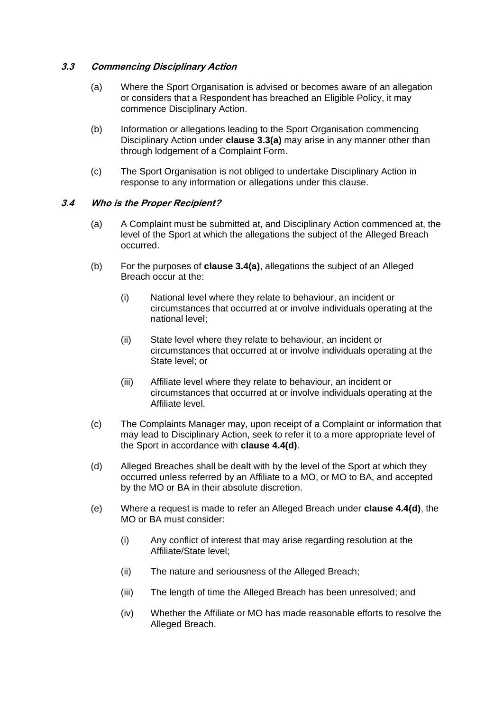#### <span id="page-8-0"></span>**3.3 Commencing Disciplinary Action**

- (a) Where the Sport Organisation is advised or becomes aware of an allegation or considers that a Respondent has breached an Eligible Policy, it may commence Disciplinary Action.
- <span id="page-8-2"></span>(b) Information or allegations leading to the Sport Organisation commencing Disciplinary Action under **clause [3.3\(](#page-8-0)a)** may arise in any manner other than through lodgement of a Complaint Form.
- (c) The Sport Organisation is not obliged to undertake Disciplinary Action in response to any information or allegations under this clause.

#### <span id="page-8-3"></span><span id="page-8-1"></span>**3.4 Who is the Proper Recipient?**

- (a) A Complaint must be submitted at, and Disciplinary Action commenced at, the level of the Sport at which the allegations the subject of the Alleged Breach occurred.
- (b) For the purposes of **clause [3.4\(](#page-8-1)a)**, allegations the subject of an Alleged Breach occur at the:
	- (i) National level where they relate to behaviour, an incident or circumstances that occurred at or involve individuals operating at the national level;
	- (ii) State level where they relate to behaviour, an incident or circumstances that occurred at or involve individuals operating at the State level; or
	- (iii) Affiliate level where they relate to behaviour, an incident or circumstances that occurred at or involve individuals operating at the Affiliate level.
- (c) The Complaints Manager may, upon receipt of a Complaint or information that may lead to Disciplinary Action, seek to refer it to a more appropriate level of the Sport in accordance with **clause [4.4\(](#page-10-0)d)**.
- (d) Alleged Breaches shall be dealt with by the level of the Sport at which they occurred unless referred by an Affiliate to a MO, or MO to BA, and accepted by the MO or BA in their absolute discretion.
- (e) Where a request is made to refer an Alleged Breach under **clause [4.4\(](#page-10-0)d)**, the MO or BA must consider:
	- (i) Any conflict of interest that may arise regarding resolution at the Affiliate/State level;
	- (ii) The nature and seriousness of the Alleged Breach;
	- (iii) The length of time the Alleged Breach has been unresolved; and
	- (iv) Whether the Affiliate or MO has made reasonable efforts to resolve the Alleged Breach.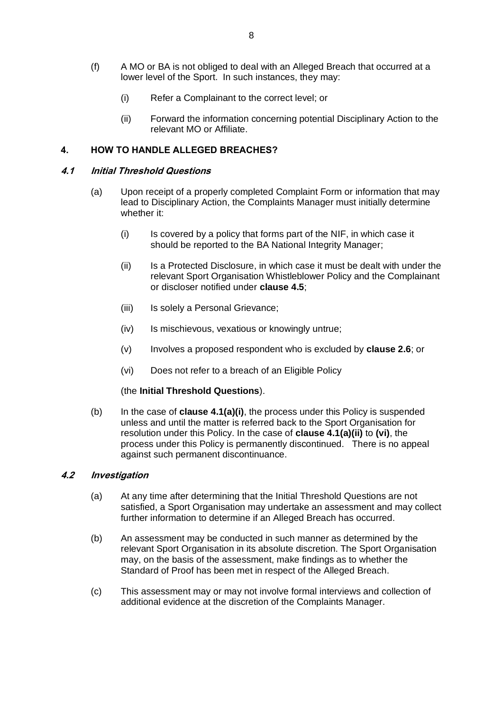- (f) A MO or BA is not obliged to deal with an Alleged Breach that occurred at a lower level of the Sport. In such instances, they may:
	- (i) Refer a Complainant to the correct level; or
	- (ii) Forward the information concerning potential Disciplinary Action to the relevant MO or Affiliate.

#### <span id="page-9-0"></span>**4. HOW TO HANDLE ALLEGED BREACHES?**

#### <span id="page-9-1"></span>**4.1 Initial Threshold Questions**

- (a) Upon receipt of a properly completed Complaint Form or information that may lead to Disciplinary Action, the Complaints Manager must initially determine whether it:
	- (i) Is covered by a policy that forms part of the NIF, in which case it should be reported to the BA National Integrity Manager;
	- (ii) Is a Protected Disclosure, in which case it must be dealt with under the relevant Sport Organisation Whistleblower Policy and the Complainant or discloser notified under **clause 4[.5](#page-11-0)**;
	- (iii) Is solely a Personal Grievance:
	- (iv) Is mischievous, vexatious or knowingly untrue;
	- (v) Involves a proposed respondent who is excluded by **clause [2.6](#page-5-1)**; or
	- (vi) Does not refer to a breach of an Eligible Policy

#### (the **Initial Threshold Questions**).

(b) In the case of **clause [4.1\(](#page-9-1)a)(i)**, the process under this Policy is suspended unless and until the matter is referred back to the Sport Organisation for resolution under this Policy. In the case of **clause [4.1\(](#page-9-1)a)(ii)** to **(vi)**, the process under this Policy is permanently discontinued. There is no appeal against such permanent discontinuance.

#### <span id="page-9-2"></span>**4.2 Investigation**

- (a) At any time after determining that the Initial Threshold Questions are not satisfied, a Sport Organisation may undertake an assessment and may collect further information to determine if an Alleged Breach has occurred.
- (b) An assessment may be conducted in such manner as determined by the relevant Sport Organisation in its absolute discretion. The Sport Organisation may, on the basis of the assessment, make findings as to whether the Standard of Proof has been met in respect of the Alleged Breach.
- (c) This assessment may or may not involve formal interviews and collection of additional evidence at the discretion of the Complaints Manager.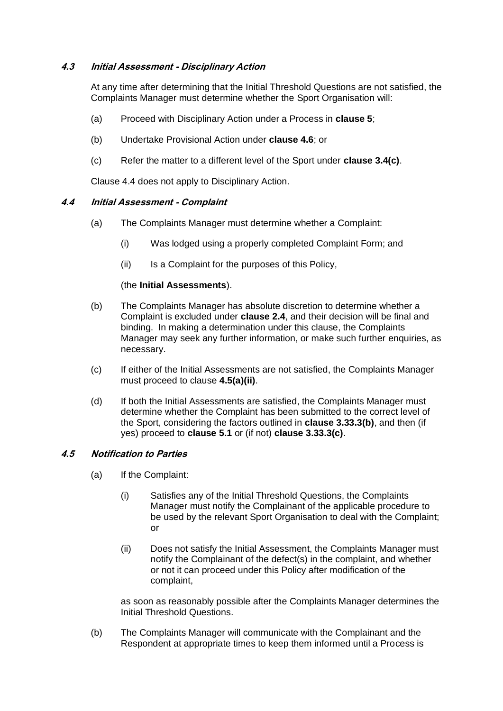# **4.3 Initial Assessment - Disciplinary Action**

At any time after determining that the Initial Threshold Questions are not satisfied, the Complaints Manager must determine whether the Sport Organisation will:

- (a) Proceed with Disciplinary Action under a Process in **clause [5](#page-11-0)**;
- (b) Undertake Provisional Action under **clause [4.6](#page-11-1)**; or
- (c) Refer the matter to a different level of the Sport under **claus[e 3.4\(](#page-8-1)c)**.

Clause [4.4](#page-10-0) does not apply to Disciplinary Action.

# <span id="page-10-0"></span>**4.4 Initial Assessment - Complaint**

- (a) The Complaints Manager must determine whether a Complaint:
	- (i) Was lodged using a properly completed Complaint Form; and
	- (ii) Is a Complaint for the purposes of this Policy,

# (the **Initial Assessments**).

- (b) The Complaints Manager has absolute discretion to determine whether a Complaint is excluded under **clause [2.4](#page-5-2)**, and their decision will be final and binding. In making a determination under this clause, the Complaints Manager may seek any further information, or make such further enquiries, as necessary.
- (c) If either of the Initial Assessments are not satisfied, the Complaints Manager must proceed to clause**[4.5\(a\)\(ii\)](#page-10-1)**.
- (d) If both the Initial Assessments are satisfied, the Complaints Manager must determine whether the Complaint has been submitted to the correct level of the Sport, considering the factors outlined in **clause [3.3](#page-8-0)[3.3\(b\)](#page-8-2)**, and then (if yes) proceed to **clause [5.1](#page-11-2)** or (if not) **clause [3.3](#page-8-0)[3.3\(c\)](#page-8-3)**.

# **4.5 Notification to Parties**

- <span id="page-10-1"></span>(a) If the Complaint:
	- (i) Satisfies any of the Initial Threshold Questions, the Complaints Manager must notify the Complainant of the applicable procedure to be used by the relevant Sport Organisation to deal with the Complaint; or
	- (ii) Does not satisfy the Initial Assessment, the Complaints Manager must notify the Complainant of the defect(s) in the complaint, and whether or not it can proceed under this Policy after modification of the complaint,

as soon as reasonably possible after the Complaints Manager determines the Initial Threshold Questions.

(b) The Complaints Manager will communicate with the Complainant and the Respondent at appropriate times to keep them informed until a Process is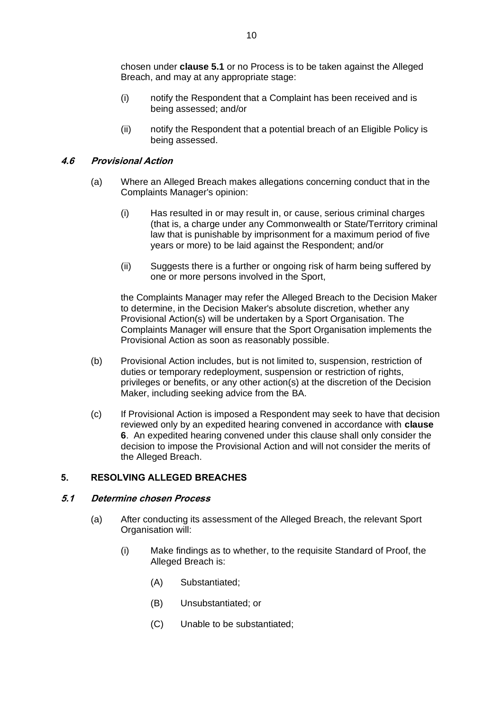chosen under **clause [5.1](#page-11-2)** or no Process is to be taken against the Alleged Breach, and may at any appropriate stage:

- (i) notify the Respondent that a Complaint has been received and is being assessed; and/or
- (ii) notify the Respondent that a potential breach of an Eligible Policy is being assessed.

#### <span id="page-11-1"></span>**4.6 Provisional Action**

- (a) Where an Alleged Breach makes allegations concerning conduct that in the Complaints Manager's opinion:
	- (i) Has resulted in or may result in, or cause, serious criminal charges (that is, a charge under any Commonwealth or State/Territory criminal law that is punishable by imprisonment for a maximum period of five years or more) to be laid against the Respondent; and/or
	- (ii) Suggests there is a further or ongoing risk of harm being suffered by one or more persons involved in the Sport,

the Complaints Manager may refer the Alleged Breach to the Decision Maker to determine, in the Decision Maker's absolute discretion, whether any Provisional Action(s) will be undertaken by a Sport Organisation. The Complaints Manager will ensure that the Sport Organisation implements the Provisional Action as soon as reasonably possible.

- (b) Provisional Action includes, but is not limited to, suspension, restriction of duties or temporary redeployment, suspension or restriction of rights, privileges or benefits, or any other action(s) at the discretion of the Decision Maker, including seeking advice from the BA.
- (c) If Provisional Action is imposed a Respondent may seek to have that decision reviewed only by an expedited hearing convened in accordance with **clause 6**. An expedited hearing convened under this clause shall only consider the decision to impose the Provisional Action and will not consider the merits of the Alleged Breach.

# <span id="page-11-0"></span>**5. RESOLVING ALLEGED BREACHES**

#### <span id="page-11-2"></span>**5.1 Determine chosen Process**

- (a) After conducting its assessment of the Alleged Breach, the relevant Sport Organisation will:
	- (i) Make findings as to whether, to the requisite Standard of Proof, the Alleged Breach is:
		- (A) Substantiated;
		- (B) Unsubstantiated; or
		- (C) Unable to be substantiated;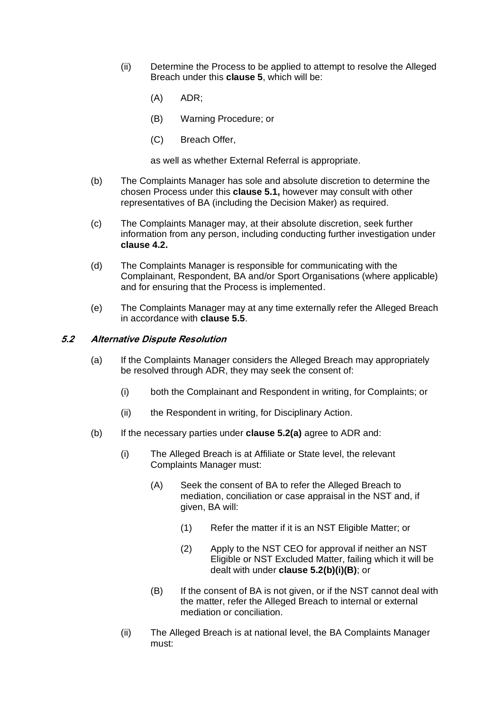- (ii) Determine the Process to be applied to attempt to resolve the Alleged Breach under this **clause [5](#page-11-0)**, which will be:
	- (A) ADR;
	- (B) Warning Procedure; or
	- (C) Breach Offer,

as well as whether External Referral is appropriate.

- (b) The Complaints Manager has sole and absolute discretion to determine the chosen Process under this **clause [5.1,](#page-11-2)** however may consult with other representatives of BA (including the Decision Maker) as required.
- (c) The Complaints Manager may, at their absolute discretion, seek further information from any person, including conducting further investigation under **clause [4.2.](#page-9-2)**
- (d) The Complaints Manager is responsible for communicating with the Complainant, Respondent, BA and/or Sport Organisations (where applicable) and for ensuring that the Process is implemented.
- (e) The Complaints Manager may at any time externally refer the Alleged Breach in accordance with **clause [5.5](#page-16-0)**.

#### <span id="page-12-1"></span><span id="page-12-0"></span>**5.2 Alternative Dispute Resolution**

- (a) If the Complaints Manager considers the Alleged Breach may appropriately be resolved through ADR, they may seek the consent of:
	- (i) both the Complainant and Respondent in writing, for Complaints; or
	- (ii) the Respondent in writing, for Disciplinary Action.
- <span id="page-12-2"></span>(b) If the necessary parties under **clause [5.2](#page-12-0)[\(a\)](#page-12-1)** agree to ADR and:
	- (i) The Alleged Breach is at Affiliate or State level, the relevant Complaints Manager must:
		- (A) Seek the consent of BA to refer the Alleged Breach to mediation, conciliation or case appraisal in the NST and, if given, BA will:
			- (1) Refer the matter if it is an NST Eligible Matter; or
			- (2) Apply to the NST CEO for approval if neither an NST Eligible or NST Excluded Matter, failing which it will be dealt with under **clause [5.2\(](#page-12-0)b)(i)(B)**; or
		- (B) If the consent of BA is not given, or if the NST cannot deal with the matter, refer the Alleged Breach to internal or external mediation or conciliation.
	- (ii) The Alleged Breach is at national level, the BA Complaints Manager must: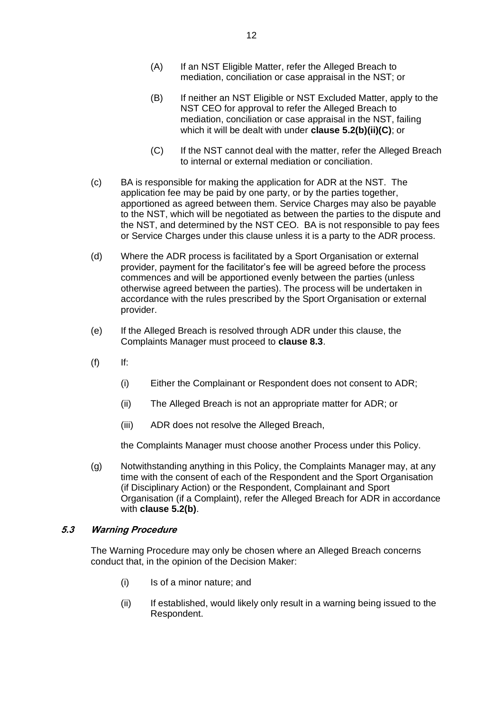- (A) If an NST Eligible Matter, refer the Alleged Breach to mediation, conciliation or case appraisal in the NST; or
- (B) If neither an NST Eligible or NST Excluded Matter, apply to the NST CEO for approval to refer the Alleged Breach to mediation, conciliation or case appraisal in the NST, failing which it will be dealt with under **clause [5.2\(](#page-12-0)b)(ii)(C)**; or
- (C) If the NST cannot deal with the matter, refer the Alleged Breach to internal or external mediation or conciliation.
- (c) BA is responsible for making the application for ADR at the NST. The application fee may be paid by one party, or by the parties together, apportioned as agreed between them. Service Charges may also be payable to the NST, which will be negotiated as between the parties to the dispute and the NST, and determined by the NST CEO. BA is not responsible to pay fees or Service Charges under this clause unless it is a party to the ADR process.
- (d) Where the ADR process is facilitated by a Sport Organisation or external provider, payment for the facilitator's fee will be agreed before the process commences and will be apportioned evenly between the parties (unless otherwise agreed between the parties). The process will be undertaken in accordance with the rules prescribed by the Sport Organisation or external provider.
- (e) If the Alleged Breach is resolved through ADR under this clause, the Complaints Manager must proceed to **clause [8.3](#page-22-1)**.
- $(f)$  If:
	- (i) Either the Complainant or Respondent does not consent to ADR;
	- (ii) The Alleged Breach is not an appropriate matter for ADR; or
	- (iii) ADR does not resolve the Alleged Breach,

the Complaints Manager must choose another Process under this Policy.

(g) Notwithstanding anything in this Policy, the Complaints Manager may, at any time with the consent of each of the Respondent and the Sport Organisation (if Disciplinary Action) or the Respondent, Complainant and Sport Organisation (if a Complaint), refer the Alleged Breach for ADR in accordance with **clause [5.2](#page-12-0)[\(b\)](#page-12-2)**.

# <span id="page-13-0"></span>**5.3 Warning Procedure**

The Warning Procedure may only be chosen where an Alleged Breach concerns conduct that, in the opinion of the Decision Maker:

- (i) Is of a minor nature; and
- (ii) If established, would likely only result in a warning being issued to the Respondent.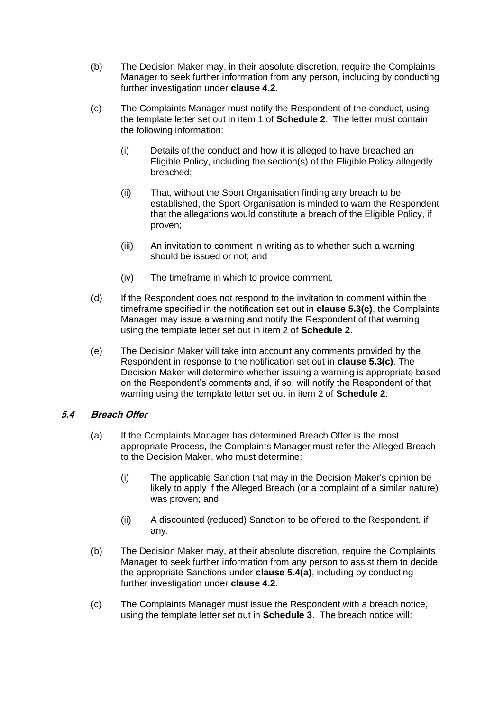- (b) The Decision Maker may, in their absolute discretion, require the Complaints Manager to seek further information from any person, including by conducting further investigation under **clause [4.2](#page-9-2)**.
- (c) The Complaints Manager must notify the Respondent of the conduct, using the template letter set out in item 1 of **Schedule 2**. The letter must contain the following information:
	- (i) Details of the conduct and how it is alleged to have breached an Eligible Policy, including the section(s) of the Eligible Policy allegedly breached;
	- (ii) That, without the Sport Organisation finding any breach to be established, the Sport Organisation is minded to warn the Respondent that the allegations would constitute a breach of the Eligible Policy, if proven;
	- (iii) An invitation to comment in writing as to whether such a warning should be issued or not; and
	- (iv) The timeframe in which to provide comment.
- (d) If the Respondent does not respond to the invitation to comment within the timeframe specified in the notification set out in **clause 5.3(c)**, the Complaints Manager may issue a warning and notify the Respondent of that warning using the template letter set out in item 2 of **Schedule 2**.
- (e) The Decision Maker will take into account any comments provided by the Respondent in response to the notification set out in **clause 5.3(c)**. The Decision Maker will determine whether issuing a warning is appropriate based on the Respondent's comments and, if so, will notify the Respondent of that warning using the template letter set out in item 2 of **Schedule 2**.

# <span id="page-14-1"></span><span id="page-14-0"></span>**5.4 Breach Offer**

- (a) If the Complaints Manager has determined Breach Offer is the most appropriate Process, the Complaints Manager must refer the Alleged Breach to the Decision Maker, who must determine:
	- (i) The applicable Sanction that may in the Decision Maker's opinion be likely to apply if the Alleged Breach (or a complaint of a similar nature) was proven; and
	- (ii) A discounted (reduced) Sanction to be offered to the Respondent, if any.
- (b) The Decision Maker may, at their absolute discretion, require the Complaints Manager to seek further information from any person to assist them to decide the appropriate Sanctions under **clause [5.4](#page-14-0)[\(a\)](#page-14-1)**, including by conducting further investigation under **clause [4.2](#page-9-2)**.
- (c) The Complaints Manager must issue the Respondent with a breach notice, using the template letter set out in **Schedule 3**. The breach notice will: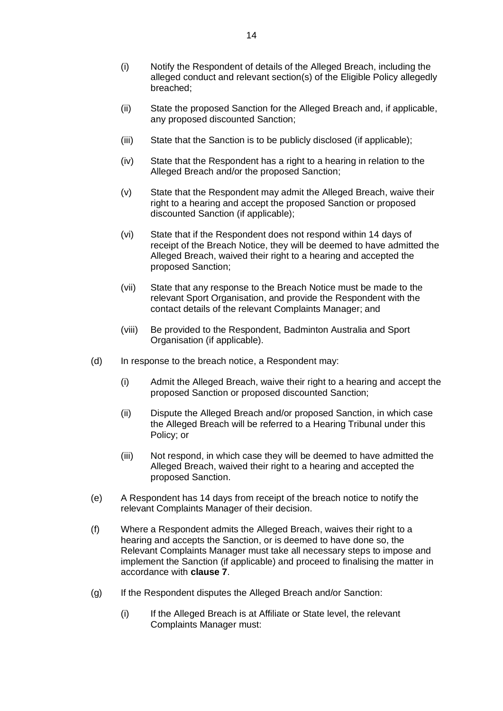- (i) Notify the Respondent of details of the Alleged Breach, including the alleged conduct and relevant section(s) of the Eligible Policy allegedly breached;
- (ii) State the proposed Sanction for the Alleged Breach and, if applicable, any proposed discounted Sanction;
- (iii) State that the Sanction is to be publicly disclosed (if applicable);
- (iv) State that the Respondent has a right to a hearing in relation to the Alleged Breach and/or the proposed Sanction;
- (v) State that the Respondent may admit the Alleged Breach, waive their right to a hearing and accept the proposed Sanction or proposed discounted Sanction (if applicable);
- (vi) State that if the Respondent does not respond within 14 days of receipt of the Breach Notice, they will be deemed to have admitted the Alleged Breach, waived their right to a hearing and accepted the proposed Sanction;
- (vii) State that any response to the Breach Notice must be made to the relevant Sport Organisation, and provide the Respondent with the contact details of the relevant Complaints Manager; and
- (viii) Be provided to the Respondent, Badminton Australia and Sport Organisation (if applicable).
- (d) In response to the breach notice, a Respondent may:
	- (i) Admit the Alleged Breach, waive their right to a hearing and accept the proposed Sanction or proposed discounted Sanction;
	- (ii) Dispute the Alleged Breach and/or proposed Sanction, in which case the Alleged Breach will be referred to a Hearing Tribunal under this Policy; or
	- (iii) Not respond, in which case they will be deemed to have admitted the Alleged Breach, waived their right to a hearing and accepted the proposed Sanction.
- (e) A Respondent has 14 days from receipt of the breach notice to notify the relevant Complaints Manager of their decision.
- (f) Where a Respondent admits the Alleged Breach, waives their right to a hearing and accepts the Sanction, or is deemed to have done so, the Relevant Complaints Manager must take all necessary steps to impose and implement the Sanction (if applicable) and proceed to finalising the matter in accordance with **clause [7](#page-19-0)**.
- (g) If the Respondent disputes the Alleged Breach and/or Sanction:
	- (i) If the Alleged Breach is at Affiliate or State level, the relevant Complaints Manager must: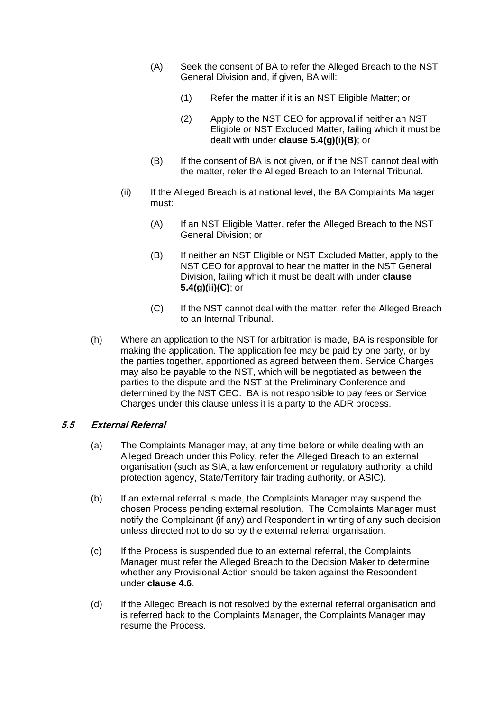- (A) Seek the consent of BA to refer the Alleged Breach to the NST General Division and, if given, BA will:
	- (1) Refer the matter if it is an NST Eligible Matter; or
	- (2) Apply to the NST CEO for approval if neither an NST Eligible or NST Excluded Matter, failing which it must be dealt with under **clause [5.4\(](#page-14-0)g)(i)(B)**; or
- (B) If the consent of BA is not given, or if the NST cannot deal with the matter, refer the Alleged Breach to an Internal Tribunal.
- (ii) If the Alleged Breach is at national level, the BA Complaints Manager must:
	- (A) If an NST Eligible Matter, refer the Alleged Breach to the NST General Division; or
	- (B) If neither an NST Eligible or NST Excluded Matter, apply to the NST CEO for approval to hear the matter in the NST General Division, failing which it must be dealt with under **clause [5.4\(](#page-14-0)g)(ii)(C)**; or
	- (C) If the NST cannot deal with the matter, refer the Alleged Breach to an Internal Tribunal.
- (h) Where an application to the NST for arbitration is made, BA is responsible for making the application. The application fee may be paid by one party, or by the parties together, apportioned as agreed between them. Service Charges may also be payable to the NST, which will be negotiated as between the parties to the dispute and the NST at the Preliminary Conference and determined by the NST CEO. BA is not responsible to pay fees or Service Charges under this clause unless it is a party to the ADR process.

# <span id="page-16-0"></span>**5.5 External Referral**

- (a) The Complaints Manager may, at any time before or while dealing with an Alleged Breach under this Policy, refer the Alleged Breach to an external organisation (such as SIA, a law enforcement or regulatory authority, a child protection agency, State/Territory fair trading authority, or ASIC).
- (b) If an external referral is made, the Complaints Manager may suspend the chosen Process pending external resolution. The Complaints Manager must notify the Complainant (if any) and Respondent in writing of any such decision unless directed not to do so by the external referral organisation.
- (c) If the Process is suspended due to an external referral, the Complaints Manager must refer the Alleged Breach to the Decision Maker to determine whether any Provisional Action should be taken against the Respondent under **clause [4.6](#page-11-1)**.
- (d) If the Alleged Breach is not resolved by the external referral organisation and is referred back to the Complaints Manager, the Complaints Manager may resume the Process.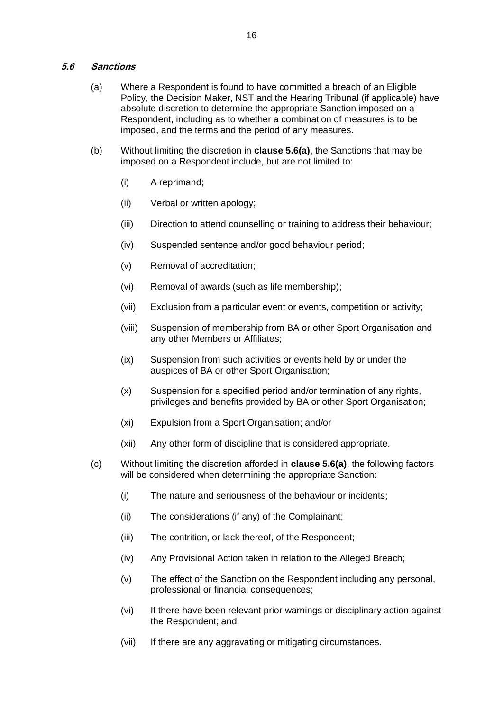#### <span id="page-17-0"></span>**5.6 Sanctions**

- (a) Where a Respondent is found to have committed a breach of an Eligible Policy, the Decision Maker, NST and the Hearing Tribunal (if applicable) have absolute discretion to determine the appropriate Sanction imposed on a Respondent, including as to whether a combination of measures is to be imposed, and the terms and the period of any measures.
- (b) Without limiting the discretion in **clause [5.6\(](#page-17-0)a)**, the Sanctions that may be imposed on a Respondent include, but are not limited to:
	- (i) A reprimand;
	- (ii) Verbal or written apology;
	- (iii) Direction to attend counselling or training to address their behaviour;
	- (iv) Suspended sentence and/or good behaviour period;
	- (v) Removal of accreditation;
	- (vi) Removal of awards (such as life membership);
	- (vii) Exclusion from a particular event or events, competition or activity;
	- (viii) Suspension of membership from BA or other Sport Organisation and any other Members or Affiliates;
	- (ix) Suspension from such activities or events held by or under the auspices of BA or other Sport Organisation;
	- (x) Suspension for a specified period and/or termination of any rights, privileges and benefits provided by BA or other Sport Organisation;
	- (xi) Expulsion from a Sport Organisation; and/or
	- (xii) Any other form of discipline that is considered appropriate.
- (c) Without limiting the discretion afforded in **clause [5.6\(](#page-17-0)a)**, the following factors will be considered when determining the appropriate Sanction:
	- (i) The nature and seriousness of the behaviour or incidents;
	- (ii) The considerations (if any) of the Complainant;
	- (iii) The contrition, or lack thereof, of the Respondent;
	- (iv) Any Provisional Action taken in relation to the Alleged Breach;
	- (v) The effect of the Sanction on the Respondent including any personal, professional or financial consequences;
	- (vi) If there have been relevant prior warnings or disciplinary action against the Respondent; and
	- (vii) If there are any aggravating or mitigating circumstances.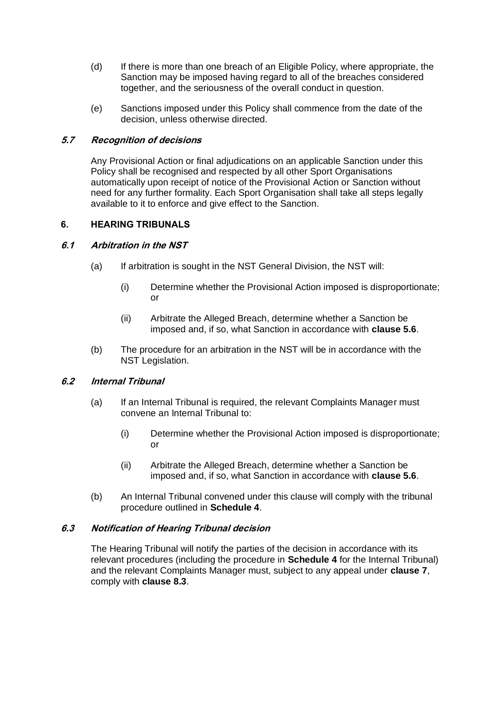- (d) If there is more than one breach of an Eligible Policy, where appropriate, the Sanction may be imposed having regard to all of the breaches considered together, and the seriousness of the overall conduct in question.
- (e) Sanctions imposed under this Policy shall commence from the date of the decision, unless otherwise directed.

# **5.7 Recognition of decisions**

Any Provisional Action or final adjudications on an applicable Sanction under this Policy shall be recognised and respected by all other Sport Organisations automatically upon receipt of notice of the Provisional Action or Sanction without need for any further formality. Each Sport Organisation shall take all steps legally available to it to enforce and give effect to the Sanction.

# <span id="page-18-0"></span>**6. HEARING TRIBUNALS**

# <span id="page-18-1"></span>**6.1 Arbitration in the NST**

- (a) If arbitration is sought in the NST General Division, the NST will:
	- (i) Determine whether the Provisional Action imposed is disproportionate; or
	- (ii) Arbitrate the Alleged Breach, determine whether a Sanction be imposed and, if so, what Sanction in accordance with **clause [5.6](#page-17-0)**.
- <span id="page-18-2"></span>(b) The procedure for an arbitration in the NST will be in accordance with the NST Legislation.

# <span id="page-18-3"></span>**6.2 Internal Tribunal**

- (a) If an Internal Tribunal is required, the relevant Complaints Manager must convene an Internal Tribunal to:
	- (i) Determine whether the Provisional Action imposed is disproportionate; or
	- (ii) Arbitrate the Alleged Breach, determine whether a Sanction be imposed and, if so, what Sanction in accordance with **clause [5.6](#page-17-0)**.
- (b) An Internal Tribunal convened under this clause will comply with the tribunal procedure outlined in **Schedule 4**.

# **6.3 Notification of Hearing Tribunal decision**

The Hearing Tribunal will notify the parties of the decision in accordance with its relevant procedures (including the procedure in **Schedule 4** for the Internal Tribunal) and the relevant Complaints Manager must, subject to any appeal under **clause 7**, comply with **clause 8.3**.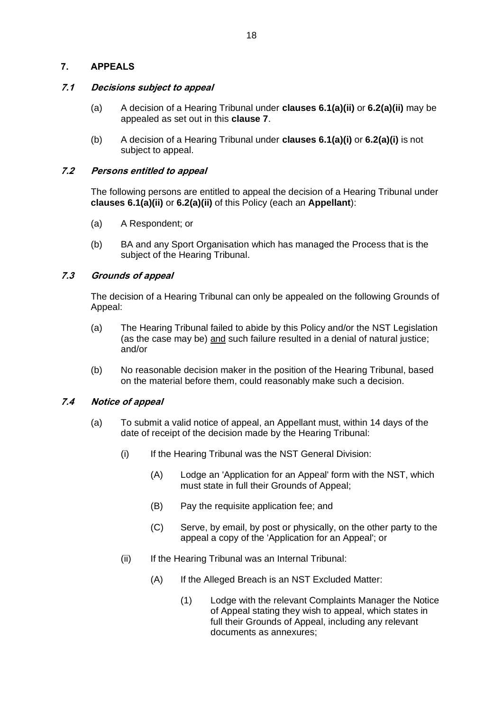# <span id="page-19-0"></span>**7. APPEALS**

# **7.1 Decisions subject to appeal**

- (a) A decision of a Hearing Tribunal under **clauses [6.1\(](#page-18-1)a)(ii)** or**[6.2\(](#page-18-3)a)(ii)** may be appealed as set out in this **clause 7**.
- (b) A decision of a Hearing Tribunal under **clauses [6.1\(](#page-18-1)a)(i)** or**[6.2\(](#page-18-3)a)(i)** is not subject to appeal.

# **7.2 Persons entitled to appeal**

The following persons are entitled to appeal the decision of a Hearing Tribunal under **clauses [6.1\(](#page-18-1)a)(ii)** or**[6.2\(](#page-18-3)a)(ii)** of this Policy (each an **Appellant**):

- (a) A Respondent; or
- (b) BA and any Sport Organisation which has managed the Process that is the subject of the Hearing Tribunal.

# <span id="page-19-2"></span>**7.3 Grounds of appeal**

The decision of a Hearing Tribunal can only be appealed on the following Grounds of Appeal:

- (a) The Hearing Tribunal failed to abide by this Policy and/or the NST Legislation (as the case may be) and such failure resulted in a denial of natural justice; and/or
- (b) No reasonable decision maker in the position of the Hearing Tribunal, based on the material before them, could reasonably make such a decision.

# <span id="page-19-1"></span>**7.4 Notice of appeal**

- (a) To submit a valid notice of appeal, an Appellant must, within 14 days of the date of receipt of the decision made by the Hearing Tribunal:
	- (i) If the Hearing Tribunal was the NST General Division:
		- (A) Lodge an 'Application for an Appeal' form with the NST, which must state in full their Grounds of Appeal;
		- (B) Pay the requisite application fee; and
		- (C) Serve, by email, by post or physically, on the other party to the appeal a copy of the 'Application for an Appeal'; or
	- (ii) If the Hearing Tribunal was an Internal Tribunal:
		- (A) If the Alleged Breach is an NST Excluded Matter:
			- (1) Lodge with the relevant Complaints Manager the Notice of Appeal stating they wish to appeal, which states in full their Grounds of Appeal, including any relevant documents as annexures;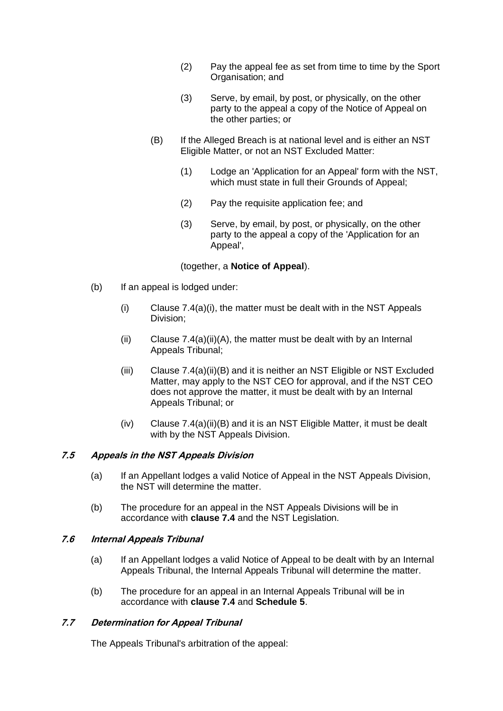- (2) Pay the appeal fee as set from time to time by the Sport Organisation; and
- (3) Serve, by email, by post, or physically, on the other party to the appeal a copy of the Notice of Appeal on the other parties; or
- (B) If the Alleged Breach is at national level and is either an NST Eligible Matter, or not an NST Excluded Matter:
	- (1) Lodge an 'Application for an Appeal' form with the NST, which must state in full their Grounds of Appeal;
	- (2) Pay the requisite application fee; and
	- (3) Serve, by email, by post, or physically, on the other party to the appeal a copy of the 'Application for an Appeal',

(together, a **Notice of Appeal**).

- (b) If an appeal is lodged under:
	- $(i)$  Clause  $7.4(a)(i)$ , the matter must be dealt with in the NST Appeals Division;
	- (ii) Clause  $7.4(a)(ii)(A)$ , the matter must be dealt with by an Internal Appeals Tribunal;
	- (iii) Clause [7.4\(](#page-19-1)a)(ii)(B) and it is neither an NST Eligible or NST Excluded Matter, may apply to the NST CEO for approval, and if the NST CEO does not approve the matter, it must be dealt with by an Internal Appeals Tribunal; or
	- (iv) Clause [7.4\(](#page-19-1)a)(ii)(B) and it is an NST Eligible Matter, it must be dealt with by the NST Appeals Division.

#### **7.5 Appeals in the NST Appeals Division**

- (a) If an Appellant lodges a valid Notice of Appeal in the NST Appeals Division, the NST will determine the matter.
- (b) The procedure for an appeal in the NST Appeals Divisions will be in accordance with **clause [7.4](#page-19-1)** and the NST Legislation.

#### <span id="page-20-1"></span>**7.6 Internal Appeals Tribunal**

- (a) If an Appellant lodges a valid Notice of Appeal to be dealt with by an Internal Appeals Tribunal, the Internal Appeals Tribunal will determine the matter.
- (b) The procedure for an appeal in an Internal Appeals Tribunal will be in accordance with **clause [7.4](#page-19-1)** and **Schedule 5**.

#### <span id="page-20-0"></span>**7.7 Determination for Appeal Tribunal**

The Appeals Tribunal's arbitration of the appeal: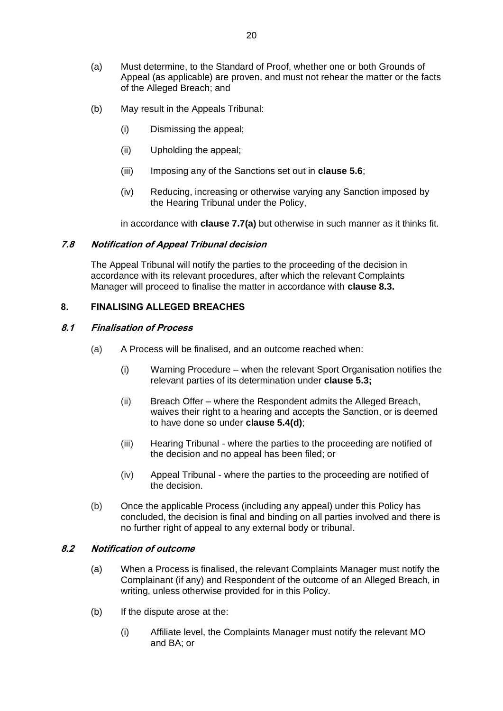- (a) Must determine, to the Standard of Proof, whether one or both Grounds of Appeal (as applicable) are proven, and must not rehear the matter or the facts of the Alleged Breach; and
- (b) May result in the Appeals Tribunal:
	- (i) Dismissing the appeal;
	- (ii) Upholding the appeal;
	- (iii) Imposing any of the Sanctions set out in **clause [5.6](#page-17-0)**;
	- (iv) Reducing, increasing or otherwise varying any Sanction imposed by the Hearing Tribunal under the Policy,

in accordance with **clause [7.7\(](#page-20-0)a)** but otherwise in such manner as it thinks fit.

#### **7.8 Notification of Appeal Tribunal decision**

The Appeal Tribunal will notify the parties to the proceeding of the decision in accordance with its relevant procedures, after which the relevant Complaints Manager will proceed to finalise the matter in accordance with **clause [8.3.](#page-22-1)**

# <span id="page-21-0"></span>**8. FINALISING ALLEGED BREACHES**

#### **8.1 Finalisation of Process**

- (a) A Process will be finalised, and an outcome reached when:
	- (i) Warning Procedure when the relevant Sport Organisation notifies the relevant parties of its determination under **clause [5.3;](#page-13-0)**
	- (ii) Breach Offer where the Respondent admits the Alleged Breach, waives their right to a hearing and accepts the Sanction, or is deemed to have done so under **clause [5.4\(](#page-14-0)d)**;
	- (iii) Hearing Tribunal where the parties to the proceeding are notified of the decision and no appeal has been filed; or
	- (iv) Appeal Tribunal where the parties to the proceeding are notified of the decision.
- (b) Once the applicable Process (including any appeal) under this Policy has concluded, the decision is final and binding on all parties involved and there is no further right of appeal to any external body or tribunal.

# **8.2 Notification of outcome**

- (a) When a Process is finalised, the relevant Complaints Manager must notify the Complainant (if any) and Respondent of the outcome of an Alleged Breach, in writing, unless otherwise provided for in this Policy.
- (b) If the dispute arose at the:
	- (i) Affiliate level, the Complaints Manager must notify the relevant MO and BA; or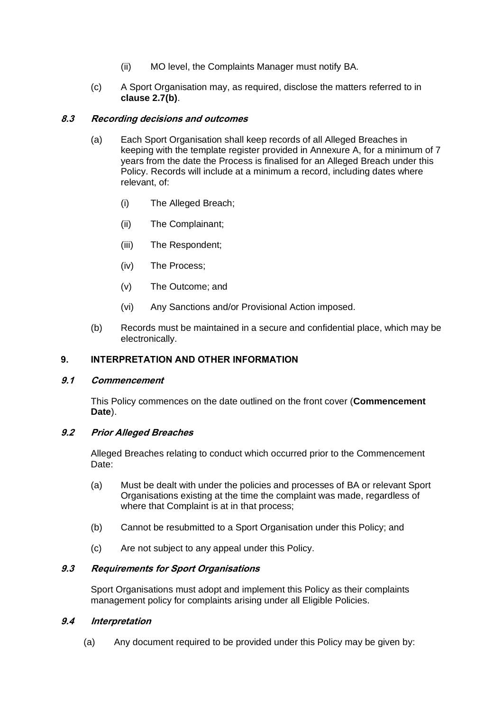- (ii) MO level, the Complaints Manager must notify BA.
- (c) A Sport Organisation may, as required, disclose the matters referred to in **clause [2.7\(](#page-6-0)b)**.

#### <span id="page-22-1"></span>**8.3 Recording decisions and outcomes**

- (a) Each Sport Organisation shall keep records of all Alleged Breaches in keeping with the template register provided in Annexure A, for a minimum of 7 years from the date the Process is finalised for an Alleged Breach under this Policy. Records will include at a minimum a record, including dates where relevant, of:
	- (i) The Alleged Breach;
	- (ii) The Complainant;
	- (iii) The Respondent;
	- (iv) The Process;
	- (v) The Outcome; and
	- (vi) Any Sanctions and/or Provisional Action imposed.
- (b) Records must be maintained in a secure and confidential place, which may be electronically.

#### <span id="page-22-0"></span>**9. INTERPRETATION AND OTHER INFORMATION**

#### **9.1 Commencement**

This Policy commences on the date outlined on the front cover (**Commencement Date**).

#### **9.2 Prior Alleged Breaches**

Alleged Breaches relating to conduct which occurred prior to the Commencement Date:

- (a) Must be dealt with under the policies and processes of BA or relevant Sport Organisations existing at the time the complaint was made, regardless of where that Complaint is at in that process;
- (b) Cannot be resubmitted to a Sport Organisation under this Policy; and
- (c) Are not subject to any appeal under this Policy.

#### **9.3 Requirements for Sport Organisations**

Sport Organisations must adopt and implement this Policy as their complaints management policy for complaints arising under all Eligible Policies.

#### **9.4 Interpretation**

(a) Any document required to be provided under this Policy may be given by: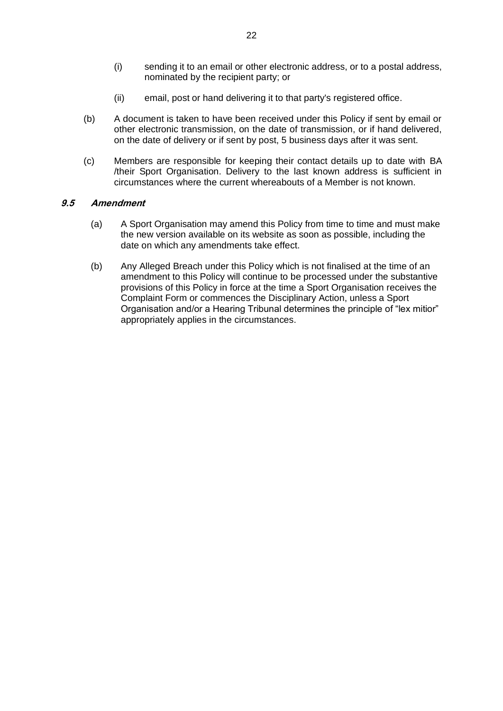- (i) sending it to an email or other electronic address, or to a postal address, nominated by the recipient party; or
- (ii) email, post or hand delivering it to that party's registered office.
- (b) A document is taken to have been received under this Policy if sent by email or other electronic transmission, on the date of transmission, or if hand delivered, on the date of delivery or if sent by post, 5 business days after it was sent.
- (c) Members are responsible for keeping their contact details up to date with BA /their Sport Organisation. Delivery to the last known address is sufficient in circumstances where the current whereabouts of a Member is not known.

#### **9.5 Amendment**

- (a) A Sport Organisation may amend this Policy from time to time and must make the new version available on its website as soon as possible, including the date on which any amendments take effect.
- (b) Any Alleged Breach under this Policy which is not finalised at the time of an amendment to this Policy will continue to be processed under the substantive provisions of this Policy in force at the time a Sport Organisation receives the Complaint Form or commences the Disciplinary Action, unless a Sport Organisation and/or a Hearing Tribunal determines the principle of "lex mitior" appropriately applies in the circumstances.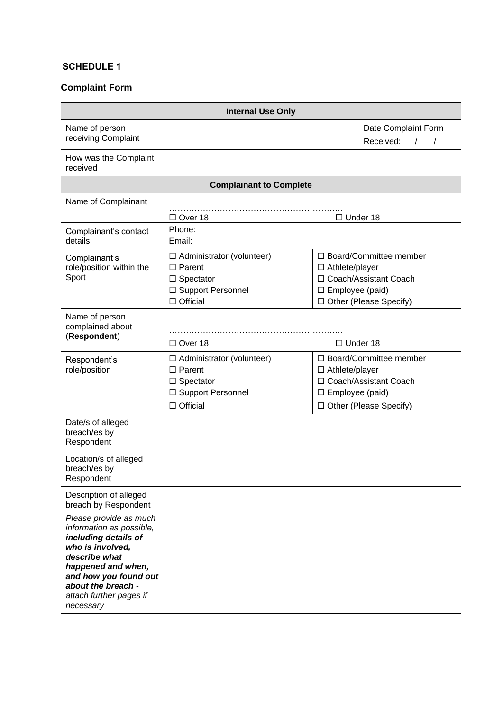# <span id="page-24-0"></span>**SCHEDULE 1**

# **Complaint Form**

| <b>Internal Use Only</b>                                                                                                                                                                                                     |                                                                                                                 |                                                                                                                                       |                                                          |
|------------------------------------------------------------------------------------------------------------------------------------------------------------------------------------------------------------------------------|-----------------------------------------------------------------------------------------------------------------|---------------------------------------------------------------------------------------------------------------------------------------|----------------------------------------------------------|
| Name of person<br>receiving Complaint                                                                                                                                                                                        |                                                                                                                 |                                                                                                                                       | Date Complaint Form<br>Received:<br>$\prime$<br>$\prime$ |
| How was the Complaint<br>received                                                                                                                                                                                            |                                                                                                                 |                                                                                                                                       |                                                          |
|                                                                                                                                                                                                                              | <b>Complainant to Complete</b>                                                                                  |                                                                                                                                       |                                                          |
| Name of Complainant                                                                                                                                                                                                          | $\Box$ Over 18<br>$\Box$ Under 18                                                                               |                                                                                                                                       |                                                          |
| Complainant's contact<br>details                                                                                                                                                                                             | Phone:<br>Email:                                                                                                |                                                                                                                                       |                                                          |
| Complainant's<br>role/position within the<br>Sport                                                                                                                                                                           | $\Box$ Administrator (volunteer)<br>$\Box$ Parent<br>$\Box$ Spectator<br>□ Support Personnel<br>$\Box$ Official | □ Board/Committee member<br>$\Box$ Athlete/player<br>□ Coach/Assistant Coach<br>$\square$ Employee (paid)<br>□ Other (Please Specify) |                                                          |
| Name of person<br>complained about<br>(Respondent)                                                                                                                                                                           | $\Box$ Over 18                                                                                                  | $\Box$ Under 18                                                                                                                       |                                                          |
| Respondent's<br>role/position                                                                                                                                                                                                | $\Box$ Administrator (volunteer)<br>$\Box$ Parent<br>$\Box$ Spectator<br>□ Support Personnel<br>$\Box$ Official | □ Board/Committee member<br>$\Box$ Athlete/player<br>□ Coach/Assistant Coach<br>$\square$ Employee (paid)<br>□ Other (Please Specify) |                                                          |
| Date/s of alleged<br>breach/es by<br>Respondent                                                                                                                                                                              |                                                                                                                 |                                                                                                                                       |                                                          |
| Location/s of alleged<br>breach/es by<br>Respondent                                                                                                                                                                          |                                                                                                                 |                                                                                                                                       |                                                          |
| Description of alleged<br>breach by Respondent                                                                                                                                                                               |                                                                                                                 |                                                                                                                                       |                                                          |
| Please provide as much<br>information as possible,<br>including details of<br>who is involved,<br>describe what<br>happened and when,<br>and how you found out<br>about the breach -<br>attach further pages if<br>necessary |                                                                                                                 |                                                                                                                                       |                                                          |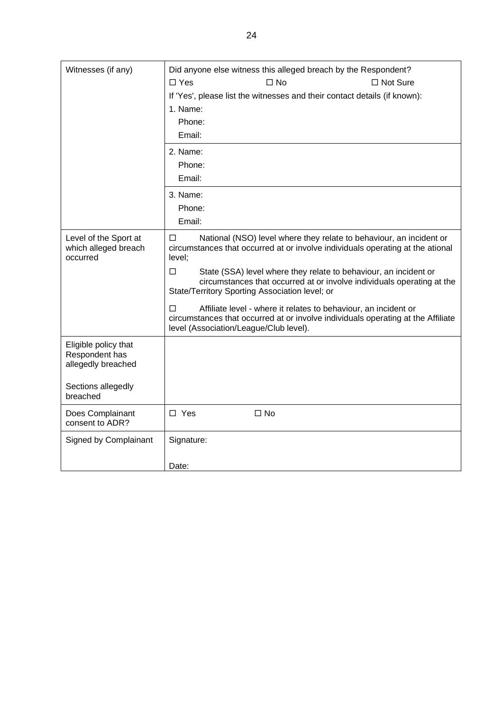| Witnesses (if any)<br>Did anyone else witness this alleged breach by the Respondent? |                                                                                                                                                                                                        |  |
|--------------------------------------------------------------------------------------|--------------------------------------------------------------------------------------------------------------------------------------------------------------------------------------------------------|--|
|                                                                                      | $\Box$ Yes<br>$\square$ No<br>$\Box$ Not Sure                                                                                                                                                          |  |
|                                                                                      | If 'Yes', please list the witnesses and their contact details (if known):                                                                                                                              |  |
|                                                                                      | 1. Name:                                                                                                                                                                                               |  |
|                                                                                      | Phone:                                                                                                                                                                                                 |  |
|                                                                                      | Email:                                                                                                                                                                                                 |  |
|                                                                                      | 2. Name:                                                                                                                                                                                               |  |
|                                                                                      | Phone:                                                                                                                                                                                                 |  |
|                                                                                      | Email:                                                                                                                                                                                                 |  |
|                                                                                      | 3. Name:                                                                                                                                                                                               |  |
|                                                                                      | Phone:                                                                                                                                                                                                 |  |
|                                                                                      | Email:                                                                                                                                                                                                 |  |
| Level of the Sport at<br>which alleged breach<br>occurred                            | National (NSO) level where they relate to behaviour, an incident or<br>$\Box$<br>circumstances that occurred at or involve individuals operating at the ational<br>level;                              |  |
|                                                                                      | $\Box$<br>State (SSA) level where they relate to behaviour, an incident or<br>circumstances that occurred at or involve individuals operating at the<br>State/Territory Sporting Association level; or |  |
|                                                                                      | Affiliate level - where it relates to behaviour, an incident or<br>П<br>circumstances that occurred at or involve individuals operating at the Affiliate<br>level (Association/League/Club level).     |  |
| Eligible policy that<br>Respondent has<br>allegedly breached                         |                                                                                                                                                                                                        |  |
| Sections allegedly<br>breached                                                       |                                                                                                                                                                                                        |  |
| Does Complainant<br>consent to ADR?                                                  | $\Box$ Yes<br>$\square$ No                                                                                                                                                                             |  |
| Signed by Complainant                                                                | Signature:                                                                                                                                                                                             |  |
|                                                                                      | Date:                                                                                                                                                                                                  |  |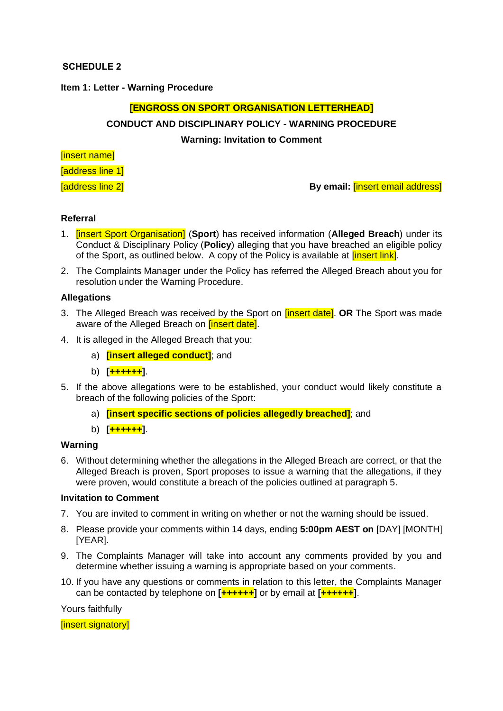#### <span id="page-26-0"></span>**SCHEDULE 2**

#### **Item 1: Letter - Warning Procedure**

#### **[ENGROSS ON SPORT ORGANISATION LETTERHEAD]**

# **CONDUCT AND DISCIPLINARY POLICY - WARNING PROCEDURE**

#### **Warning: Invitation to Comment**

[insert name]

[address line 1]

[address line 2] **By email:** [insert email address]

#### **Referral**

- 1. [insert Sport Organisation] (**Sport**) has received information (**Alleged Breach**) under its Conduct & Disciplinary Policy (**Policy**) alleging that you have breached an eligible policy of the Sport, as outlined below. A copy of the Policy is available at *[insert link]*.
- 2. The Complaints Manager under the Policy has referred the Alleged Breach about you for resolution under the Warning Procedure.

#### **Allegations**

- 3. The Alleged Breach was received by the Sport on [insert date]. **OR** The Sport was made aware of the Alleged Breach on *[insert date]*.
- 4. It is alleged in the Alleged Breach that you:
	- a) **[insert alleged conduct]**; and
	- b) **[++++++]**.
- 5. If the above allegations were to be established, your conduct would likely constitute a breach of the following policies of the Sport:
	- a) **[insert specific sections of policies allegedly breached]**; and
	- b) **[++++++]**.

#### **Warning**

6. Without determining whether the allegations in the Alleged Breach are correct, or that the Alleged Breach is proven, Sport proposes to issue a warning that the allegations, if they were proven, would constitute a breach of the policies outlined at paragraph 5.

#### **Invitation to Comment**

- 7. You are invited to comment in writing on whether or not the warning should be issued.
- 8. Please provide your comments within 14 days, ending **5:00pm AEST on** [DAY] [MONTH] [YEAR].
- 9. The Complaints Manager will take into account any comments provided by you and determine whether issuing a warning is appropriate based on your comments.
- 10. If you have any questions or comments in relation to this letter, the Complaints Manager can be contacted by telephone on **[++++++]** or by email at **[++++++]**.

Yours faithfully

[insert signatory]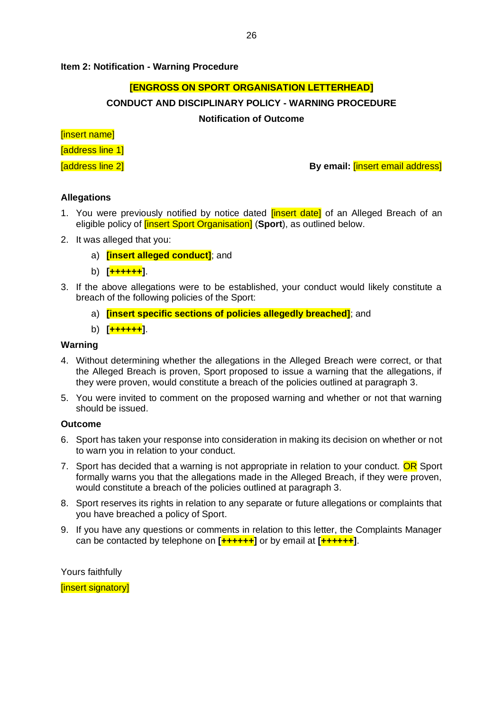#### **Item 2: Notification - Warning Procedure**

#### **[ENGROSS ON SPORT ORGANISATION LETTERHEAD]**

#### **CONDUCT AND DISCIPLINARY POLICY - WARNING PROCEDURE**

#### **Notification of Outcome**

[insert name]

[address line 1]

[address line 2] **By email:** [insert email address]

#### **Allegations**

- 1. You were previously notified by notice dated *[insert date]* of an Alleged Breach of an eligible policy of [insert Sport Organisation] (**Sport**), as outlined below.
- 2. It was alleged that you:
	- a) **[insert alleged conduct]**; and
	- b) **[++++++]**.
- 3. If the above allegations were to be established, your conduct would likely constitute a breach of the following policies of the Sport:
	- a) **[insert specific sections of policies allegedly breached]**; and
	- b) **[++++++]**.

#### **Warning**

- 4. Without determining whether the allegations in the Alleged Breach were correct, or that the Alleged Breach is proven, Sport proposed to issue a warning that the allegations, if they were proven, would constitute a breach of the policies outlined at paragraph 3.
- 5. You were invited to comment on the proposed warning and whether or not that warning should be issued.

#### **Outcome**

- 6. Sport has taken your response into consideration in making its decision on whether or not to warn you in relation to your conduct.
- 7. Sport has decided that a warning is not appropriate in relation to your conduct. OR Sport formally warns you that the allegations made in the Alleged Breach, if they were proven, would constitute a breach of the policies outlined at paragraph 3.
- 8. Sport reserves its rights in relation to any separate or future allegations or complaints that you have breached a policy of Sport.
- 9. If you have any questions or comments in relation to this letter, the Complaints Manager can be contacted by telephone on **[++++++]** or by email at **[++++++]**.

Yours faithfully

[insert signatory]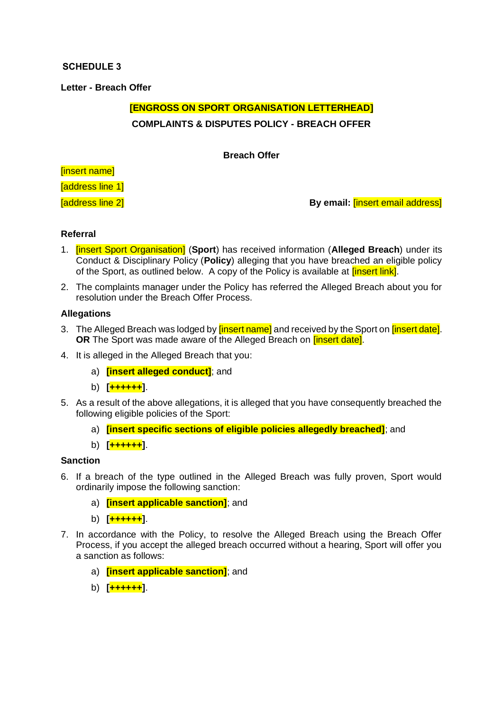# <span id="page-28-0"></span>**SCHEDULE 3**

**Letter - Breach Offer**

# **[ENGROSS ON SPORT ORGANISATION LETTERHEAD] COMPLAINTS & DISPUTES POLICY - BREACH OFFER**

**Breach Offer**

[insert name]

[address line 1]

[address line 2] **By email:** [insert email address]

#### **Referral**

- 1. [insert Sport Organisation] (**Sport**) has received information (**Alleged Breach**) under its Conduct & Disciplinary Policy (**Policy**) alleging that you have breached an eligible policy of the Sport, as outlined below. A copy of the Policy is available at *[insert link]*.
- 2. The complaints manager under the Policy has referred the Alleged Breach about you for resolution under the Breach Offer Process.

#### **Allegations**

- 3. The Alleged Breach was lodged by **[insert name]** and received by the Sport on **[insert date]**. **OR** The Sport was made aware of the Alleged Breach on **[insert date]**.
- 4. It is alleged in the Alleged Breach that you:
	- a) **[insert alleged conduct]**; and
	- b) **[++++++]**.
- 5. As a result of the above allegations, it is alleged that you have consequently breached the following eligible policies of the Sport:
	- a) **[insert specific sections of eligible policies allegedly breached]**; and
	- b) **[++++++]**.

# **Sanction**

- 6. If a breach of the type outlined in the Alleged Breach was fully proven, Sport would ordinarily impose the following sanction:
	- a) **[insert applicable sanction]**; and
	- b) **[++++++]**.
- 7. In accordance with the Policy, to resolve the Alleged Breach using the Breach Offer Process, if you accept the alleged breach occurred without a hearing, Sport will offer you a sanction as follows:
	- a) **[insert applicable sanction]**; and
	- b) **[++++++]**.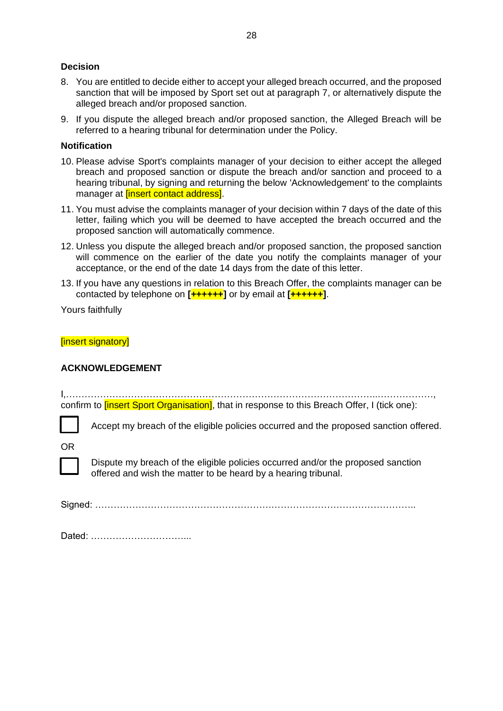#### **Decision**

- 8. You are entitled to decide either to accept your alleged breach occurred, and the proposed sanction that will be imposed by Sport set out at paragraph 7, or alternatively dispute the alleged breach and/or proposed sanction.
- 9. If you dispute the alleged breach and/or proposed sanction, the Alleged Breach will be referred to a hearing tribunal for determination under the Policy.

#### **Notification**

- 10. Please advise Sport's complaints manager of your decision to either accept the alleged breach and proposed sanction or dispute the breach and/or sanction and proceed to a hearing tribunal, by signing and returning the below 'Acknowledgement' to the complaints manager at *[insert contact address]*.
- 11. You must advise the complaints manager of your decision within 7 days of the date of this letter, failing which you will be deemed to have accepted the breach occurred and the proposed sanction will automatically commence.
- 12. Unless you dispute the alleged breach and/or proposed sanction, the proposed sanction will commence on the earlier of the date you notify the complaints manager of your acceptance, or the end of the date 14 days from the date of this letter.
- 13. If you have any questions in relation to this Breach Offer, the complaints manager can be contacted by telephone on **[++++++]** or by email at **[++++++]**.

Yours faithfully

#### [insert signatory]

#### **ACKNOWLEDGEMENT**

I,………………………………………………………………………………………..………………, confirm to **[insert Sport Organisation]**, that in response to this Breach Offer, I (tick one):

Accept my breach of the eligible policies occurred and the proposed sanction offered.

OR



Dispute my breach of the eligible policies occurred and/or the proposed sanction offered and wish the matter to be heard by a hearing tribunal.

Signed: …………………………………………………………………………………………..

Dated: …………………………...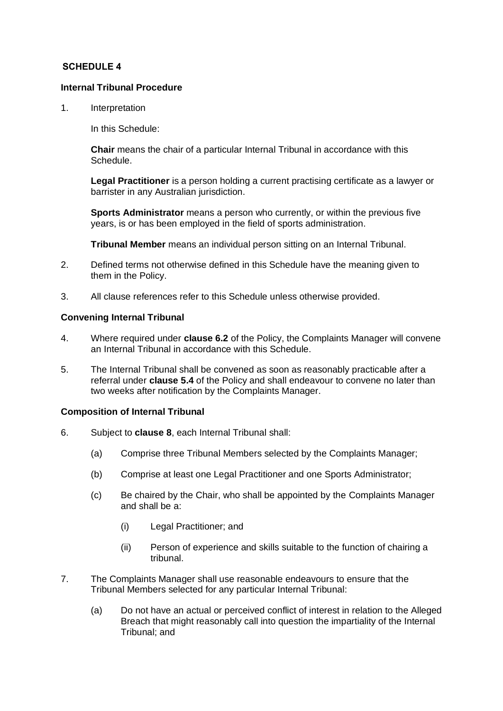#### <span id="page-30-0"></span>**SCHEDULE 4**

#### **Internal Tribunal Procedure**

1. Interpretation

In this Schedule:

**Chair** means the chair of a particular Internal Tribunal in accordance with this Schedule.

**Legal Practitioner** is a person holding a current practising certificate as a lawyer or barrister in any Australian jurisdiction.

**Sports Administrator** means a person who currently, or within the previous five years, is or has been employed in the field of sports administration.

**Tribunal Member** means an individual person sitting on an Internal Tribunal.

- 2. Defined terms not otherwise defined in this Schedule have the meaning given to them in the Policy.
- 3. All clause references refer to this Schedule unless otherwise provided.

#### **Convening Internal Tribunal**

- 4. Where required under **clause [6.2](#page-18-3)** of the Policy, the Complaints Manager will convene an Internal Tribunal in accordance with this Schedule.
- 5. The Internal Tribunal shall be convened as soon as reasonably practicable after a referral under **clause [5.4](#page-14-0)** of the Policy and shall endeavour to convene no later than two weeks after notification by the Complaints Manager.

#### **Composition of Internal Tribunal**

- 6. Subject to **clause 8**, each Internal Tribunal shall:
	- (a) Comprise three Tribunal Members selected by the Complaints Manager;
	- (b) Comprise at least one Legal Practitioner and one Sports Administrator;
	- (c) Be chaired by the Chair, who shall be appointed by the Complaints Manager and shall be a:
		- (i) Legal Practitioner; and
		- (ii) Person of experience and skills suitable to the function of chairing a tribunal.
- 7. The Complaints Manager shall use reasonable endeavours to ensure that the Tribunal Members selected for any particular Internal Tribunal:
	- (a) Do not have an actual or perceived conflict of interest in relation to the Alleged Breach that might reasonably call into question the impartiality of the Internal Tribunal; and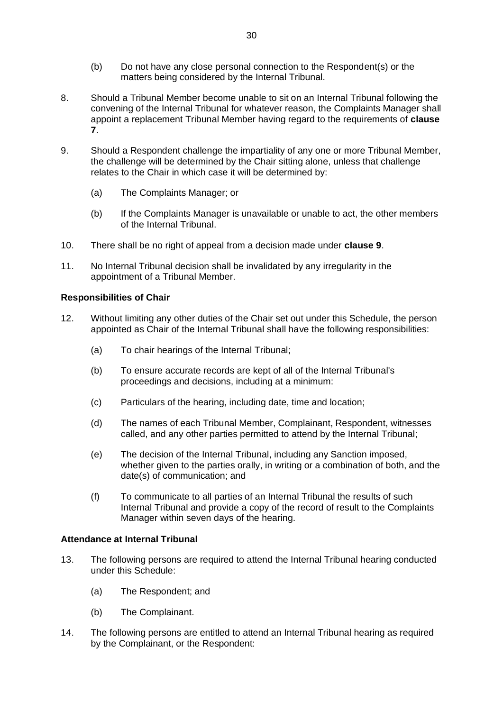- (b) Do not have any close personal connection to the Respondent(s) or the matters being considered by the Internal Tribunal.
- 8. Should a Tribunal Member become unable to sit on an Internal Tribunal following the convening of the Internal Tribunal for whatever reason, the Complaints Manager shall appoint a replacement Tribunal Member having regard to the requirements of **clause 7**.
- 9. Should a Respondent challenge the impartiality of any one or more Tribunal Member, the challenge will be determined by the Chair sitting alone, unless that challenge relates to the Chair in which case it will be determined by:
	- (a) The Complaints Manager; or
	- (b) If the Complaints Manager is unavailable or unable to act, the other members of the Internal Tribunal.
- 10. There shall be no right of appeal from a decision made under **clause 9**.
- 11. No Internal Tribunal decision shall be invalidated by any irregularity in the appointment of a Tribunal Member.

#### **Responsibilities of Chair**

- 12. Without limiting any other duties of the Chair set out under this Schedule, the person appointed as Chair of the Internal Tribunal shall have the following responsibilities:
	- (a) To chair hearings of the Internal Tribunal;
	- (b) To ensure accurate records are kept of all of the Internal Tribunal's proceedings and decisions, including at a minimum:
	- (c) Particulars of the hearing, including date, time and location;
	- (d) The names of each Tribunal Member, Complainant, Respondent, witnesses called, and any other parties permitted to attend by the Internal Tribunal;
	- (e) The decision of the Internal Tribunal, including any Sanction imposed, whether given to the parties orally, in writing or a combination of both, and the date(s) of communication; and
	- (f) To communicate to all parties of an Internal Tribunal the results of such Internal Tribunal and provide a copy of the record of result to the Complaints Manager within seven days of the hearing.

#### **Attendance at Internal Tribunal**

- 13. The following persons are required to attend the Internal Tribunal hearing conducted under this Schedule:
	- (a) The Respondent; and
	- (b) The Complainant.
- 14. The following persons are entitled to attend an Internal Tribunal hearing as required by the Complainant, or the Respondent: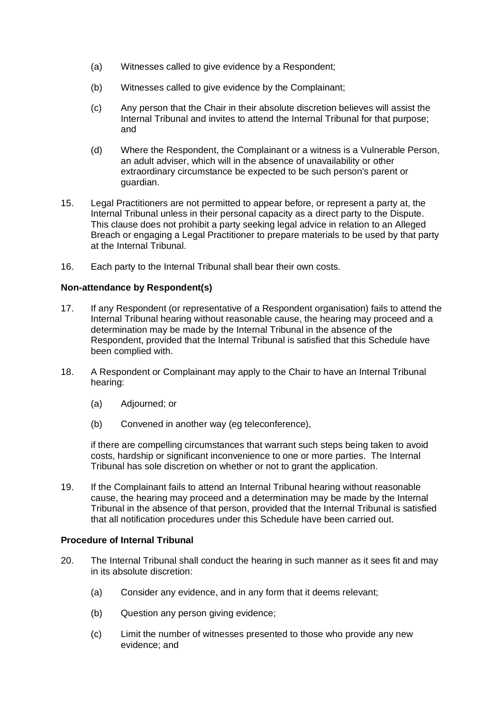- (a) Witnesses called to give evidence by a Respondent;
- (b) Witnesses called to give evidence by the Complainant;
- (c) Any person that the Chair in their absolute discretion believes will assist the Internal Tribunal and invites to attend the Internal Tribunal for that purpose; and
- (d) Where the Respondent, the Complainant or a witness is a Vulnerable Person, an adult adviser, which will in the absence of unavailability or other extraordinary circumstance be expected to be such person's parent or guardian.
- 15. Legal Practitioners are not permitted to appear before, or represent a party at, the Internal Tribunal unless in their personal capacity as a direct party to the Dispute. This clause does not prohibit a party seeking legal advice in relation to an Alleged Breach or engaging a Legal Practitioner to prepare materials to be used by that party at the Internal Tribunal.
- 16. Each party to the Internal Tribunal shall bear their own costs.

#### **Non-attendance by Respondent(s)**

- 17. If any Respondent (or representative of a Respondent organisation) fails to attend the Internal Tribunal hearing without reasonable cause, the hearing may proceed and a determination may be made by the Internal Tribunal in the absence of the Respondent, provided that the Internal Tribunal is satisfied that this Schedule have been complied with.
- 18. A Respondent or Complainant may apply to the Chair to have an Internal Tribunal hearing:
	- (a) Adjourned; or
	- (b) Convened in another way (eg teleconference),

if there are compelling circumstances that warrant such steps being taken to avoid costs, hardship or significant inconvenience to one or more parties. The Internal Tribunal has sole discretion on whether or not to grant the application.

19. If the Complainant fails to attend an Internal Tribunal hearing without reasonable cause, the hearing may proceed and a determination may be made by the Internal Tribunal in the absence of that person, provided that the Internal Tribunal is satisfied that all notification procedures under this Schedule have been carried out.

#### **Procedure of Internal Tribunal**

- 20. The Internal Tribunal shall conduct the hearing in such manner as it sees fit and may in its absolute discretion:
	- (a) Consider any evidence, and in any form that it deems relevant;
	- (b) Question any person giving evidence;
	- (c) Limit the number of witnesses presented to those who provide any new evidence; and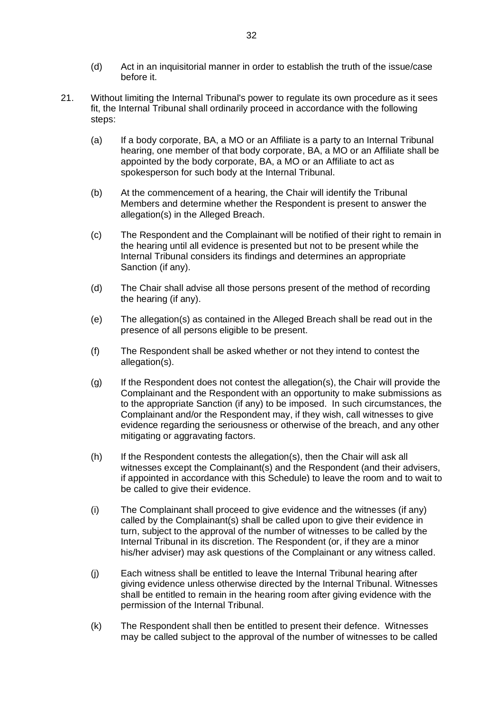- (d) Act in an inquisitorial manner in order to establish the truth of the issue/case before it.
- 21. Without limiting the Internal Tribunal's power to regulate its own procedure as it sees fit, the Internal Tribunal shall ordinarily proceed in accordance with the following steps:
	- (a) If a body corporate, BA, a MO or an Affiliate is a party to an Internal Tribunal hearing, one member of that body corporate, BA, a MO or an Affiliate shall be appointed by the body corporate, BA, a MO or an Affiliate to act as spokesperson for such body at the Internal Tribunal.
	- (b) At the commencement of a hearing, the Chair will identify the Tribunal Members and determine whether the Respondent is present to answer the allegation(s) in the Alleged Breach.
	- (c) The Respondent and the Complainant will be notified of their right to remain in the hearing until all evidence is presented but not to be present while the Internal Tribunal considers its findings and determines an appropriate Sanction (if any).
	- (d) The Chair shall advise all those persons present of the method of recording the hearing (if any).
	- (e) The allegation(s) as contained in the Alleged Breach shall be read out in the presence of all persons eligible to be present.
	- (f) The Respondent shall be asked whether or not they intend to contest the allegation(s).
	- (g) If the Respondent does not contest the allegation(s), the Chair will provide the Complainant and the Respondent with an opportunity to make submissions as to the appropriate Sanction (if any) to be imposed. In such circumstances, the Complainant and/or the Respondent may, if they wish, call witnesses to give evidence regarding the seriousness or otherwise of the breach, and any other mitigating or aggravating factors.
	- (h) If the Respondent contests the allegation(s), then the Chair will ask all witnesses except the Complainant(s) and the Respondent (and their advisers, if appointed in accordance with this Schedule) to leave the room and to wait to be called to give their evidence.
	- (i) The Complainant shall proceed to give evidence and the witnesses (if any) called by the Complainant(s) shall be called upon to give their evidence in turn, subject to the approval of the number of witnesses to be called by the Internal Tribunal in its discretion. The Respondent (or, if they are a minor his/her adviser) may ask questions of the Complainant or any witness called.
	- (j) Each witness shall be entitled to leave the Internal Tribunal hearing after giving evidence unless otherwise directed by the Internal Tribunal. Witnesses shall be entitled to remain in the hearing room after giving evidence with the permission of the Internal Tribunal.
	- (k) The Respondent shall then be entitled to present their defence. Witnesses may be called subject to the approval of the number of witnesses to be called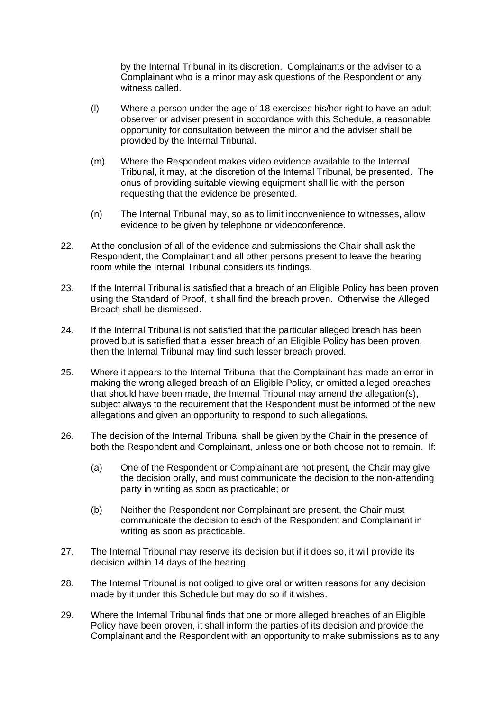by the Internal Tribunal in its discretion. Complainants or the adviser to a Complainant who is a minor may ask questions of the Respondent or any witness called.

- (l) Where a person under the age of 18 exercises his/her right to have an adult observer or adviser present in accordance with this Schedule, a reasonable opportunity for consultation between the minor and the adviser shall be provided by the Internal Tribunal.
- (m) Where the Respondent makes video evidence available to the Internal Tribunal, it may, at the discretion of the Internal Tribunal, be presented. The onus of providing suitable viewing equipment shall lie with the person requesting that the evidence be presented.
- (n) The Internal Tribunal may, so as to limit inconvenience to witnesses, allow evidence to be given by telephone or videoconference.
- 22. At the conclusion of all of the evidence and submissions the Chair shall ask the Respondent, the Complainant and all other persons present to leave the hearing room while the Internal Tribunal considers its findings.
- 23. If the Internal Tribunal is satisfied that a breach of an Eligible Policy has been proven using the Standard of Proof, it shall find the breach proven. Otherwise the Alleged Breach shall be dismissed.
- 24. If the Internal Tribunal is not satisfied that the particular alleged breach has been proved but is satisfied that a lesser breach of an Eligible Policy has been proven, then the Internal Tribunal may find such lesser breach proved.
- 25. Where it appears to the Internal Tribunal that the Complainant has made an error in making the wrong alleged breach of an Eligible Policy, or omitted alleged breaches that should have been made, the Internal Tribunal may amend the allegation(s), subject always to the requirement that the Respondent must be informed of the new allegations and given an opportunity to respond to such allegations.
- 26. The decision of the Internal Tribunal shall be given by the Chair in the presence of both the Respondent and Complainant, unless one or both choose not to remain. If:
	- (a) One of the Respondent or Complainant are not present, the Chair may give the decision orally, and must communicate the decision to the non-attending party in writing as soon as practicable; or
	- (b) Neither the Respondent nor Complainant are present, the Chair must communicate the decision to each of the Respondent and Complainant in writing as soon as practicable.
- 27. The Internal Tribunal may reserve its decision but if it does so, it will provide its decision within 14 days of the hearing.
- 28. The Internal Tribunal is not obliged to give oral or written reasons for any decision made by it under this Schedule but may do so if it wishes.
- 29. Where the Internal Tribunal finds that one or more alleged breaches of an Eligible Policy have been proven, it shall inform the parties of its decision and provide the Complainant and the Respondent with an opportunity to make submissions as to any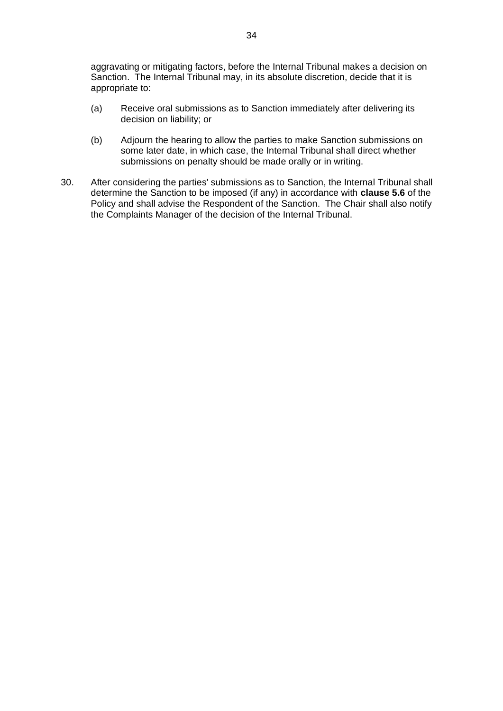aggravating or mitigating factors, before the Internal Tribunal makes a decision on Sanction. The Internal Tribunal may, in its absolute discretion, decide that it is appropriate to:

- (a) Receive oral submissions as to Sanction immediately after delivering its decision on liability; or
- (b) Adjourn the hearing to allow the parties to make Sanction submissions on some later date, in which case, the Internal Tribunal shall direct whether submissions on penalty should be made orally or in writing.
- 30. After considering the parties' submissions as to Sanction, the Internal Tribunal shall determine the Sanction to be imposed (if any) in accordance with **clause [5.6](#page-17-0)** of the Policy and shall advise the Respondent of the Sanction. The Chair shall also notify the Complaints Manager of the decision of the Internal Tribunal.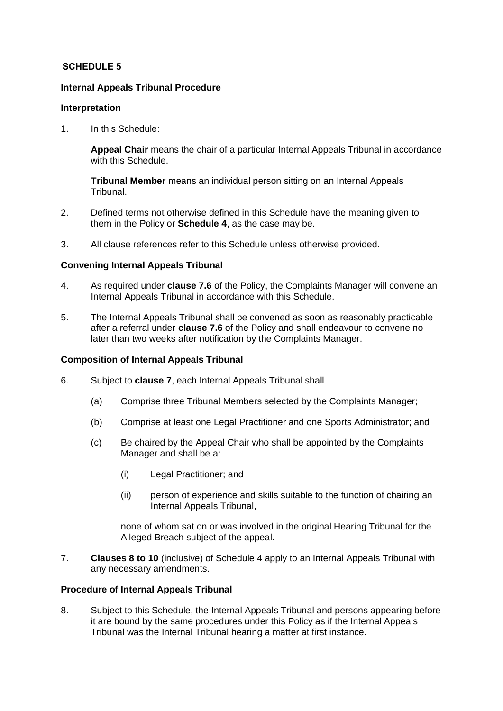# <span id="page-36-0"></span>**SCHEDULE 5**

# **Internal Appeals Tribunal Procedure**

#### **Interpretation**

1. In this Schedule:

**Appeal Chair** means the chair of a particular Internal Appeals Tribunal in accordance with this Schedule.

**Tribunal Member** means an individual person sitting on an Internal Appeals Tribunal.

- 2. Defined terms not otherwise defined in this Schedule have the meaning given to them in the Policy or **Schedule 4**, as the case may be.
- 3. All clause references refer to this Schedule unless otherwise provided.

#### **Convening Internal Appeals Tribunal**

- 4. As required under **clause [7.6](#page-20-1)** of the Policy, the Complaints Manager will convene an Internal Appeals Tribunal in accordance with this Schedule.
- 5. The Internal Appeals Tribunal shall be convened as soon as reasonably practicable after a referral under **clause [7.6](#page-20-1)** of the Policy and shall endeavour to convene no later than two weeks after notification by the Complaints Manager.

#### **Composition of Internal Appeals Tribunal**

- 6. Subject to **clause 7**, each Internal Appeals Tribunal shall
	- (a) Comprise three Tribunal Members selected by the Complaints Manager;
	- (b) Comprise at least one Legal Practitioner and one Sports Administrator; and
	- (c) Be chaired by the Appeal Chair who shall be appointed by the Complaints Manager and shall be a:
		- (i) Legal Practitioner; and
		- (ii) person of experience and skills suitable to the function of chairing an Internal Appeals Tribunal,

none of whom sat on or was involved in the original Hearing Tribunal for the Alleged Breach subject of the appeal.

7. **Clauses 8 to 10** (inclusive) of Schedule 4 apply to an Internal Appeals Tribunal with any necessary amendments.

# **Procedure of Internal Appeals Tribunal**

8. Subject to this Schedule, the Internal Appeals Tribunal and persons appearing before it are bound by the same procedures under this Policy as if the Internal Appeals Tribunal was the Internal Tribunal hearing a matter at first instance.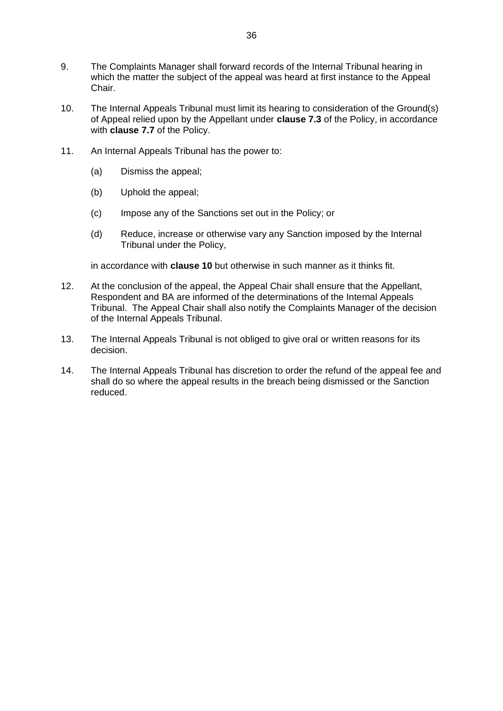- 9. The Complaints Manager shall forward records of the Internal Tribunal hearing in which the matter the subject of the appeal was heard at first instance to the Appeal Chair.
- 10. The Internal Appeals Tribunal must limit its hearing to consideration of the Ground(s) of Appeal relied upon by the Appellant under **clause [7.3](#page-19-2)** of the Policy, in accordance with **clause [7.7](#page-20-0)** of the Policy.
- 11. An Internal Appeals Tribunal has the power to:
	- (a) Dismiss the appeal;
	- (b) Uphold the appeal;
	- (c) Impose any of the Sanctions set out in the Policy; or
	- (d) Reduce, increase or otherwise vary any Sanction imposed by the Internal Tribunal under the Policy,

in accordance with **clause 10** but otherwise in such manner as it thinks fit.

- 12. At the conclusion of the appeal, the Appeal Chair shall ensure that the Appellant, Respondent and BA are informed of the determinations of the Internal Appeals Tribunal. The Appeal Chair shall also notify the Complaints Manager of the decision of the Internal Appeals Tribunal.
- 13. The Internal Appeals Tribunal is not obliged to give oral or written reasons for its decision.
- 14. The Internal Appeals Tribunal has discretion to order the refund of the appeal fee and shall do so where the appeal results in the breach being dismissed or the Sanction reduced.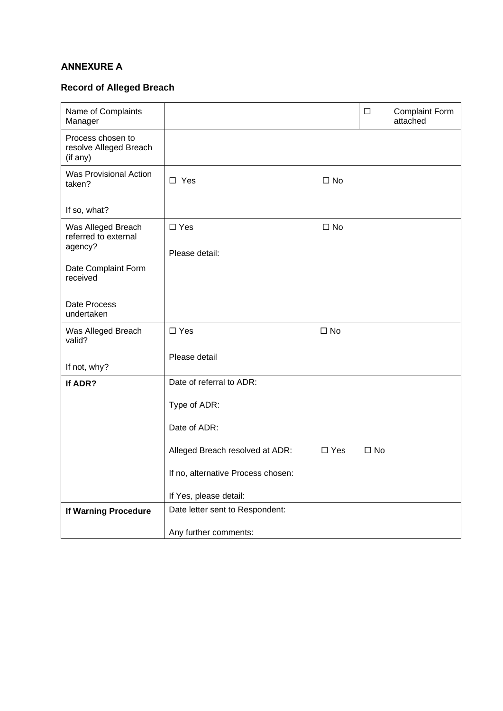# <span id="page-38-0"></span>**ANNEXURE A**

# **Record of Alleged Breach**

| Name of Complaints<br>Manager                           |                                    |               | $\Box$       | <b>Complaint Form</b><br>attached |
|---------------------------------------------------------|------------------------------------|---------------|--------------|-----------------------------------|
| Process chosen to<br>resolve Alleged Breach<br>(if any) |                                    |               |              |                                   |
| <b>Was Provisional Action</b><br>taken?                 | $\Box$ Yes                         | $\Box$ No     |              |                                   |
| If so, what?                                            |                                    |               |              |                                   |
| Was Alleged Breach<br>referred to external<br>agency?   | $\square$ Yes                      | $\square$ No  |              |                                   |
|                                                         | Please detail:                     |               |              |                                   |
| Date Complaint Form<br>received                         |                                    |               |              |                                   |
| Date Process<br>undertaken                              |                                    |               |              |                                   |
| Was Alleged Breach<br>valid?                            | $\square$ Yes                      | $\square$ No  |              |                                   |
| If not, why?                                            | Please detail                      |               |              |                                   |
| If ADR?                                                 | Date of referral to ADR:           |               |              |                                   |
|                                                         | Type of ADR:                       |               |              |                                   |
|                                                         | Date of ADR:                       |               |              |                                   |
|                                                         | Alleged Breach resolved at ADR:    | $\square$ Yes | $\square$ No |                                   |
|                                                         | If no, alternative Process chosen: |               |              |                                   |
|                                                         | If Yes, please detail:             |               |              |                                   |
| If Warning Procedure                                    | Date letter sent to Respondent:    |               |              |                                   |
|                                                         | Any further comments:              |               |              |                                   |